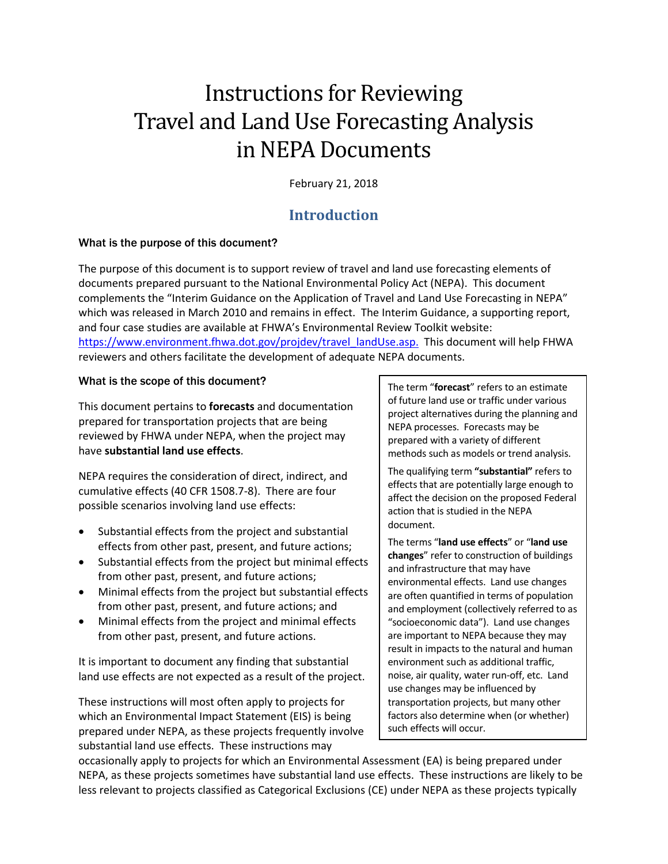# Instructions for Reviewing Travel and Land Use Forecasting Analysis in NEPA Documents

February 21, 2018

# **Introduction**

# What is the purpose of this document?

The purpose of this document is to support review of travel and land use forecasting elements of documents prepared pursuant to the National Environmental Policy Act (NEPA). This document complements the "Interim Guidance on the Application of Travel and Land Use Forecasting in NEPA" which was released in March 2010 and remains in effect. The Interim Guidance, a supporting report, and four case studies are available at FHWA's Environmental Review Toolkit website: [https://www.environment.fhwa.dot.gov/projdev/travel\\_landUse.asp.](https://www.environment.fhwa.dot.gov/projdev/travel_landUse.asp) This document will help FHWA reviewers and others facilitate the development of adequate NEPA documents.

# What is the scope of this document?

This document pertains to **forecasts** and documentation prepared for transportation projects that are being reviewed by FHWA under NEPA, when the project may have **substantial land use effects**.

NEPA requires the consideration of direct, indirect, and cumulative effects (40 CFR 1508.7-8). There are four possible scenarios involving land use effects:

- Substantial effects from the project and substantial effects from other past, present, and future actions;
- Substantial effects from the project but minimal effects from other past, present, and future actions;
- Minimal effects from the project but substantial effects from other past, present, and future actions; and
- Minimal effects from the project and minimal effects from other past, present, and future actions.

It is important to document any finding that substantial land use effects are not expected as a result of the project.

These instructions will most often apply to projects for which an Environmental Impact Statement (EIS) is being prepared under NEPA, as these projects frequently involve substantial land use effects. These instructions may

The term "**forecast**" refers to an estimate of future land use or traffic under various project alternatives during the planning and NEPA processes. Forecasts may be prepared with a variety of different methods such as models or trend analysis.

The qualifying term **"substantial"** refers to effects that are potentially large enough to affect the decision on the proposed Federal action that is studied in the NEPA document.

The terms "**land use effects**" or "**land use changes**" refer to construction of buildings and infrastructure that may have environmental effects. Land use changes are often quantified in terms of population and employment (collectively referred to as "socioeconomic data"). Land use changes are important to NEPA because they may result in impacts to the natural and human environment such as additional traffic, noise, air quality, water run-off, etc. Land use changes may be influenced by transportation projects, but many other factors also determine when (or whether) such effects will occur.

occasionally apply to projects for which an Environmental Assessment (EA) is being prepared under NEPA, as these projects sometimes have substantial land use effects. These instructions are likely to be less relevant to projects classified as Categorical Exclusions (CE) under NEPA as these projects typically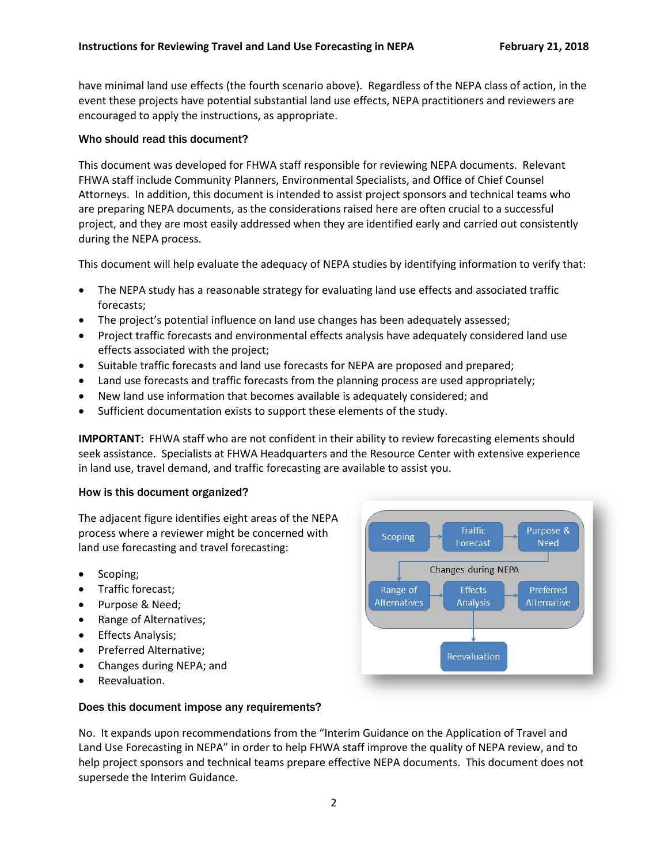have minimal land use effects (the fourth scenario above). Regardless of the NEPA class of action, in the event these projects have potential substantial land use effects, NEPA practitioners and reviewers are encouraged to apply the instructions, as appropriate.

#### Who should read this document?

This document was developed for FHWA staff responsible for reviewing NEPA documents. Relevant FHWA staff include Community Planners, Environmental Specialists, and Office of Chief Counsel Attorneys. In addition, this document is intended to assist project sponsors and technical teams who are preparing NEPA documents, as the considerations raised here are often crucial to a successful project, and they are most easily addressed when they are identified early and carried out consistently during the NEPA process.

This document will help evaluate the adequacy of NEPA studies by identifying information to verify that:

- The NEPA study has a reasonable strategy for evaluating land use effects and associated traffic forecasts;
- The project's potential influence on land use changes has been adequately assessed;
- Project traffic forecasts and environmental effects analysis have adequately considered land use effects associated with the project;
- Suitable traffic forecasts and land use forecasts for NEPA are proposed and prepared;
- Land use forecasts and traffic forecasts from the planning process are used appropriately;
- New land use information that becomes available is adequately considered; and
- Sufficient documentation exists to support these elements of the study.

**IMPORTANT:** FHWA staff who are not confident in their ability to review forecasting elements should seek assistance. Specialists at FHWA Headquarters and the Resource Center with extensive experience in land use, travel demand, and traffic forecasting are available to assist you.

#### How is this document organized?

The adjacent figure identifies eight areas of the NEPA process where a reviewer might be concerned with land use forecasting and travel forecasting:

- Scoping;
- Traffic forecast;
- Purpose & Need;
- Range of Alternatives;
- Effects Analysis;
- Preferred Alternative;
- Changes during NEPA; and
- Reevaluation.

#### Does this document impose any requirements?

No. It expands upon recommendations from the "Interim Guidance on the Application of Travel and Land Use Forecasting in NEPA" in order to help FHWA staff improve the quality of NEPA review, and to help project sponsors and technical teams prepare effective NEPA documents. This document does not supersede the Interim Guidance.

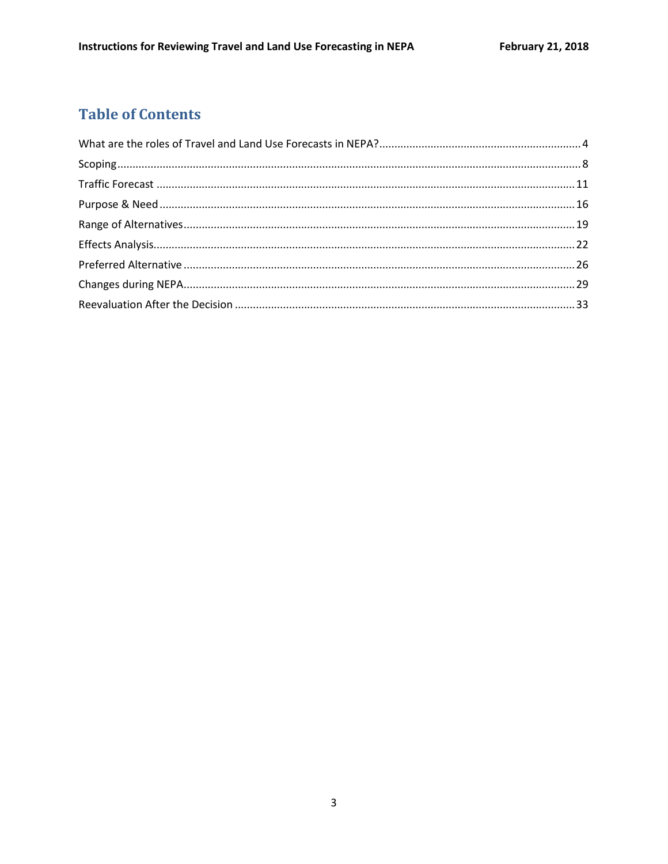# **Table of Contents**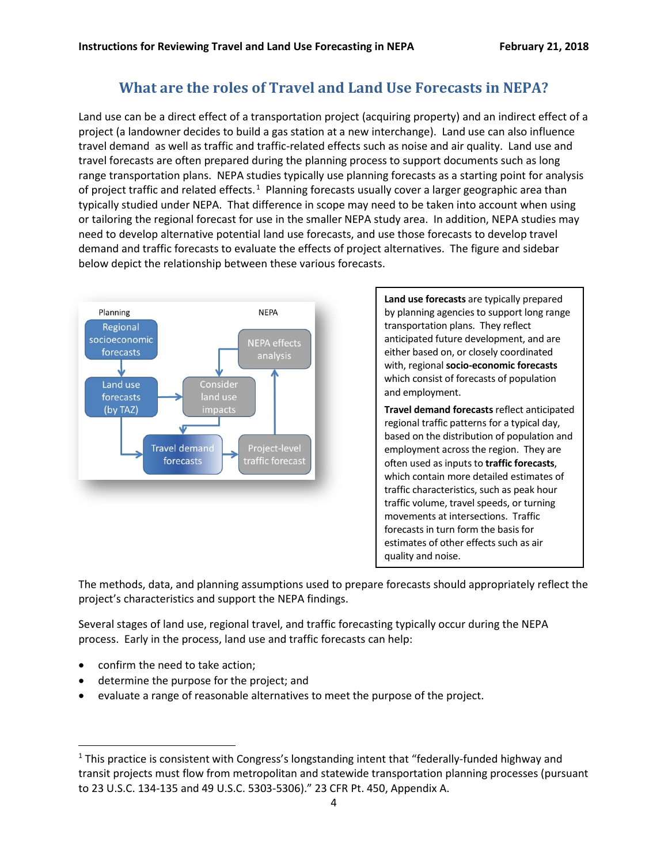# **What are the roles of Travel and Land Use Forecasts in NEPA?**

<span id="page-3-0"></span>Land use can be a direct effect of a transportation project (acquiring property) and an indirect effect of a project (a landowner decides to build a gas station at a new interchange). Land use can also influence travel demand as well as traffic and traffic-related effects such as noise and air quality. Land use and travel forecasts are often prepared during the planning process to support documents such as long range transportation plans. NEPA studies typically use planning forecasts as a starting point for analysis of project traffic and related effects.<sup>[1](#page-3-1)</sup> Planning forecasts usually cover a larger geographic area than typically studied under NEPA. That difference in scope may need to be taken into account when using or tailoring the regional forecast for use in the smaller NEPA study area. In addition, NEPA studies may need to develop alternative potential land use forecasts, and use those forecasts to develop travel demand and traffic forecasts to evaluate the effects of project alternatives. The figure and sidebar below depict the relationship between these various forecasts.



**Land use forecasts** are typically prepared by planning agencies to support long range transportation plans. They reflect anticipated future development, and are either based on, or closely coordinated with, regional **socio-economic forecasts** which consist of forecasts of population and employment.

**Travel demand forecasts** reflect anticipated regional traffic patterns for a typical day, based on the distribution of population and employment across the region. They are often used as inputs to **traffic forecasts**, which contain more detailed estimates of traffic characteristics, such as peak hour traffic volume, travel speeds, or turning movements at intersections. Traffic forecasts in turn form the basis for estimates of other effects such as air quality and noise.

The methods, data, and planning assumptions used to prepare forecasts should appropriately reflect the project's characteristics and support the NEPA findings.

Several stages of land use, regional travel, and traffic forecasting typically occur during the NEPA process. Early in the process, land use and traffic forecasts can help:

- confirm the need to take action;
- determine the purpose for the project; and
- evaluate a range of reasonable alternatives to meet the purpose of the project.

<span id="page-3-1"></span><sup>&</sup>lt;sup>1</sup> This practice is consistent with Congress's longstanding intent that "federally-funded highway and transit projects must flow from metropolitan and statewide transportation planning processes (pursuant to 23 U.S.C. 134-135 and 49 U.S.C. 5303-5306)." 23 CFR Pt. 450, Appendix A.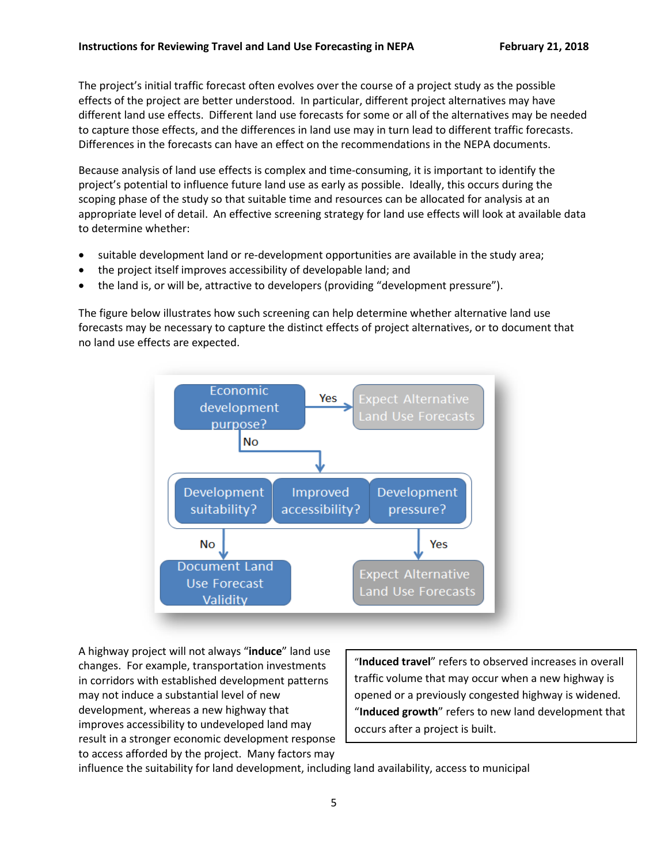The project's initial traffic forecast often evolves over the course of a project study as the possible effects of the project are better understood. In particular, different project alternatives may have different land use effects. Different land use forecasts for some or all of the alternatives may be needed to capture those effects, and the differences in land use may in turn lead to different traffic forecasts. Differences in the forecasts can have an effect on the recommendations in the NEPA documents.

Because analysis of land use effects is complex and time-consuming, it is important to identify the project's potential to influence future land use as early as possible. Ideally, this occurs during the scoping phase of the study so that suitable time and resources can be allocated for analysis at an appropriate level of detail. An effective screening strategy for land use effects will look at available data to determine whether:

- suitable development land or re-development opportunities are available in the study area;
- the project itself improves accessibility of developable land; and
- the land is, or will be, attractive to developers (providing "development pressure").

The figure below illustrates how such screening can help determine whether alternative land use forecasts may be necessary to capture the distinct effects of project alternatives, or to document that no land use effects are expected.



A highway project will not always "**induce**" land use changes. For example, transportation investments in corridors with established development patterns may not induce a substantial level of new development, whereas a new highway that improves accessibility to undeveloped land may result in a stronger economic development response to access afforded by the project. Many factors may

"**Induced travel**" refers to observed increases in overall traffic volume that may occur when a new highway is opened or a previously congested highway is widened. "**Induced growth**" refers to new land development that occurs after a project is built.

influence the suitability for land development, including land availability, access to municipal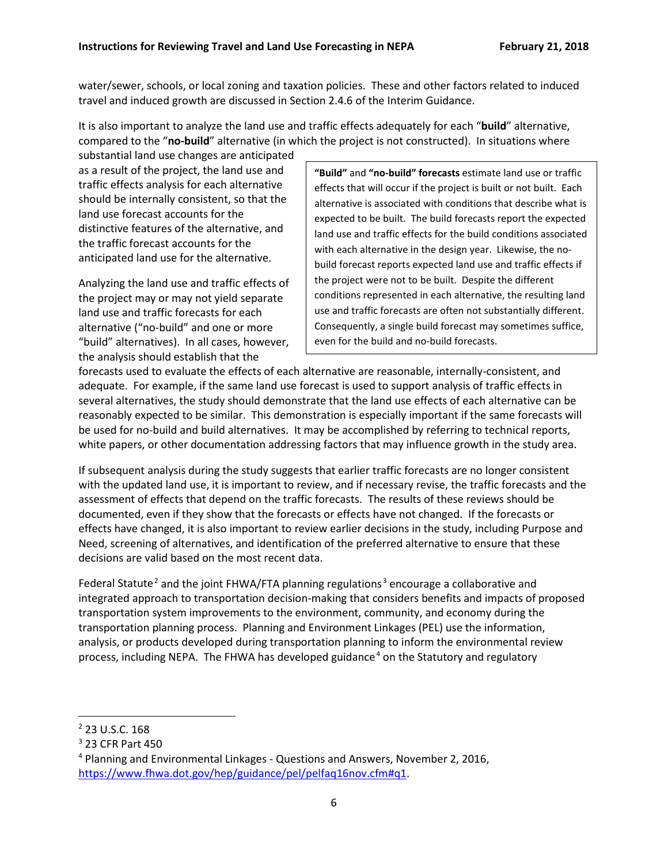water/sewer, schools, or local zoning and taxation policies. These and other factors related to induced travel and induced growth are discussed in Section 2.4.6 of the Interim Guidance.

It is also important to analyze the land use and traffic effects adequately for each "**build**" alternative, compared to the "**no-build**" alternative (in which the project is not constructed). In situations where

substantial land use changes are anticipated as a result of the project, the land use and traffic effects analysis for each alternative should be internally consistent, so that the land use forecast accounts for the distinctive features of the alternative, and the traffic forecast accounts for the anticipated land use for the alternative.

Analyzing the land use and traffic effects of the project may or may not yield separate land use and traffic forecasts for each alternative ("no-build" and one or more "build" alternatives). In all cases, however, the analysis should establish that the

**"Build"** and **"no-build" forecasts** estimate land use or traffic effects that will occur if the project is built or not built. Each alternative is associated with conditions that describe what is expected to be built. The build forecasts report the expected land use and traffic effects for the build conditions associated with each alternative in the design year. Likewise, the nobuild forecast reports expected land use and traffic effects if the project were not to be built. Despite the different conditions represented in each alternative, the resulting land use and traffic forecasts are often not substantially different. Consequently, a single build forecast may sometimes suffice, even for the build and no-build forecasts.

forecasts used to evaluate the effects of each alternative are reasonable, internally-consistent, and adequate. For example, if the same land use forecast is used to support analysis of traffic effects in several alternatives, the study should demonstrate that the land use effects of each alternative can be reasonably expected to be similar. This demonstration is especially important if the same forecasts will be used for no-build and build alternatives. It may be accomplished by referring to technical reports, white papers, or other documentation addressing factors that may influence growth in the study area.

If subsequent analysis during the study suggests that earlier traffic forecasts are no longer consistent with the updated land use, it is important to review, and if necessary revise, the traffic forecasts and the assessment of effects that depend on the traffic forecasts. The results of these reviews should be documented, even if they show that the forecasts or effects have not changed. If the forecasts or effects have changed, it is also important to review earlier decisions in the study, including Purpose and Need, screening of alternatives, and identification of the preferred alternative to ensure that these decisions are valid based on the most recent data.

Federal Statute<sup>[2](#page-5-0)</sup> and the joint FHWA/FTA planning regulations<sup>[3](#page-5-1)</sup> encourage a collaborative and integrated approach to transportation decision-making that considers benefits and impacts of proposed transportation system improvements to the environment, community, and economy during the transportation planning process. Planning and Environment Linkages (PEL) use the information, analysis, or products developed during transportation planning to inform the environmental review process, including NEPA. The FHWA has developed guidance<sup>[4](#page-5-2)</sup> on the Statutory and regulatory

<span id="page-5-0"></span> <sup>2</sup> 23 U.S.C. 168

<span id="page-5-1"></span><sup>3</sup> 23 CFR Part 450

<span id="page-5-2"></span><sup>4</sup> Planning and Environmental Linkages - Questions and Answers, November 2, 2016, [https://www.fhwa.dot.gov/hep/guidance/pel/pelfaq16nov.cfm#q1.](https://www.fhwa.dot.gov/hep/guidance/pel/pelfaq16nov.cfm%23q1)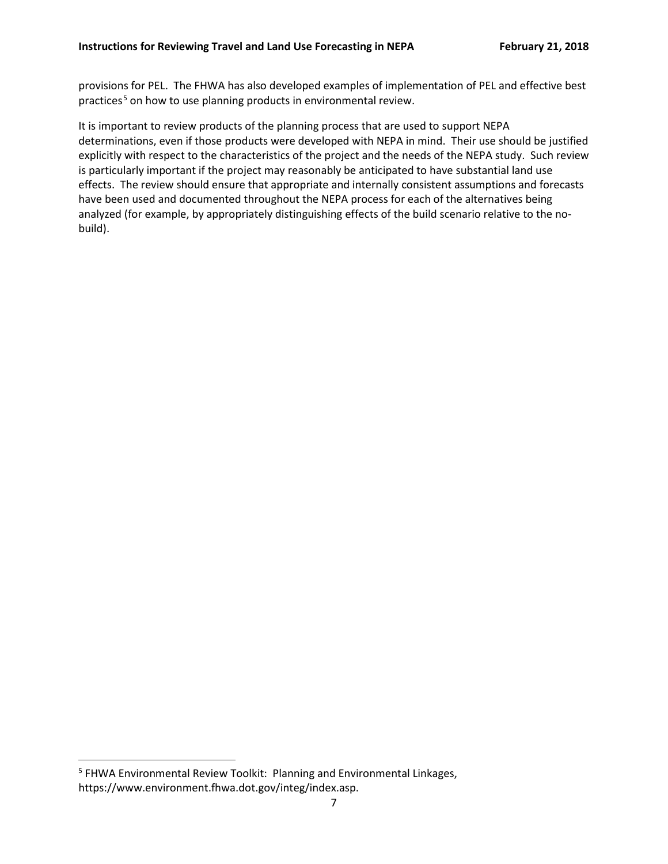provisions for PEL. The FHWA has also developed examples of implementation of PEL and effective best practices<sup>[5](#page-6-0)</sup> on how to use planning products in environmental review.

It is important to review products of the planning process that are used to support NEPA determinations, even if those products were developed with NEPA in mind. Their use should be justified explicitly with respect to the characteristics of the project and the needs of the NEPA study. Such review is particularly important if the project may reasonably be anticipated to have substantial land use effects. The review should ensure that appropriate and internally consistent assumptions and forecasts have been used and documented throughout the NEPA process for each of the alternatives being analyzed (for example, by appropriately distinguishing effects of the build scenario relative to the nobuild).

<span id="page-6-0"></span> <sup>5</sup> FHWA Environmental Review Toolkit: Planning and Environmental Linkages, https://www.environment.fhwa.dot.gov/integ/index.asp.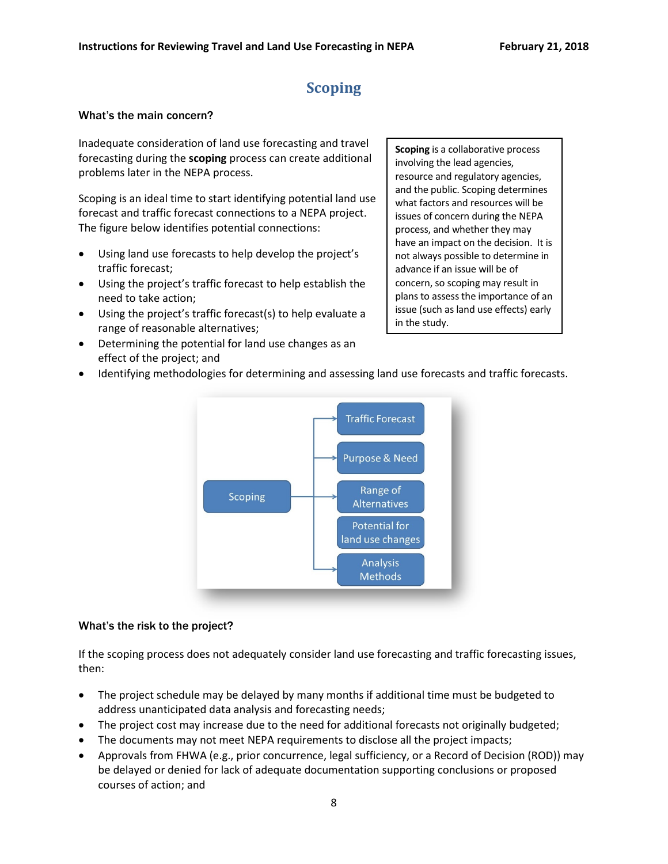# **Scoping**

#### <span id="page-7-0"></span>What's the main concern?

Inadequate consideration of land use forecasting and travel forecasting during the **scoping** process can create additional problems later in the NEPA process.

Scoping is an ideal time to start identifying potential land use forecast and traffic forecast connections to a NEPA project. The figure below identifies potential connections:

- Using land use forecasts to help develop the project's traffic forecast;
- Using the project's traffic forecast to help establish the need to take action;
- Using the project's traffic forecast(s) to help evaluate a range of reasonable alternatives;
- Determining the potential for land use changes as an effect of the project; and

**Scoping** is a collaborative process involving the lead agencies, resource and regulatory agencies, and the public. Scoping determines what factors and resources will be issues of concern during the NEPA process, and whether they may have an impact on the decision. It is not always possible to determine in advance if an issue will be of concern, so scoping may result in plans to assess the importance of an issue (such as land use effects) early in the study.

• Identifying methodologies for determining and assessing land use forecasts and traffic forecasts.



#### What's the risk to the project?

If the scoping process does not adequately consider land use forecasting and traffic forecasting issues, then:

- The project schedule may be delayed by many months if additional time must be budgeted to address unanticipated data analysis and forecasting needs;
- The project cost may increase due to the need for additional forecasts not originally budgeted;
- The documents may not meet NEPA requirements to disclose all the project impacts;
- Approvals from FHWA (e.g., prior concurrence, legal sufficiency, or a Record of Decision (ROD)) may be delayed or denied for lack of adequate documentation supporting conclusions or proposed courses of action; and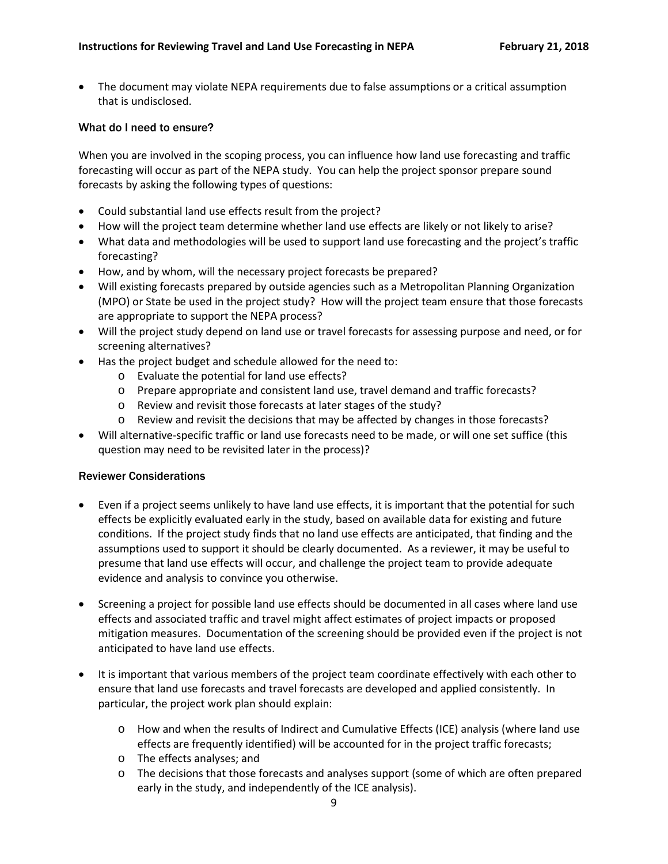• The document may violate NEPA requirements due to false assumptions or a critical assumption that is undisclosed.

#### What do I need to ensure?

When you are involved in the scoping process, you can influence how land use forecasting and traffic forecasting will occur as part of the NEPA study. You can help the project sponsor prepare sound forecasts by asking the following types of questions:

- Could substantial land use effects result from the project?
- How will the project team determine whether land use effects are likely or not likely to arise?
- What data and methodologies will be used to support land use forecasting and the project's traffic forecasting?
- How, and by whom, will the necessary project forecasts be prepared?
- Will existing forecasts prepared by outside agencies such as a Metropolitan Planning Organization (MPO) or State be used in the project study? How will the project team ensure that those forecasts are appropriate to support the NEPA process?
- Will the project study depend on land use or travel forecasts for assessing purpose and need, or for screening alternatives?
- Has the project budget and schedule allowed for the need to:
	- o Evaluate the potential for land use effects?
	- o Prepare appropriate and consistent land use, travel demand and traffic forecasts?
	- o Review and revisit those forecasts at later stages of the study?
	- o Review and revisit the decisions that may be affected by changes in those forecasts?
- Will alternative-specific traffic or land use forecasts need to be made, or will one set suffice (this question may need to be revisited later in the process)?

#### Reviewer Considerations

- Even if a project seems unlikely to have land use effects, it is important that the potential for such effects be explicitly evaluated early in the study, based on available data for existing and future conditions. If the project study finds that no land use effects are anticipated, that finding and the assumptions used to support it should be clearly documented. As a reviewer, it may be useful to presume that land use effects will occur, and challenge the project team to provide adequate evidence and analysis to convince you otherwise.
- Screening a project for possible land use effects should be documented in all cases where land use effects and associated traffic and travel might affect estimates of project impacts or proposed mitigation measures. Documentation of the screening should be provided even if the project is not anticipated to have land use effects.
- It is important that various members of the project team coordinate effectively with each other to ensure that land use forecasts and travel forecasts are developed and applied consistently. In particular, the project work plan should explain:
	- o How and when the results of Indirect and Cumulative Effects (ICE) analysis (where land use effects are frequently identified) will be accounted for in the project traffic forecasts;
	- o The effects analyses; and
	- o The decisions that those forecasts and analyses support (some of which are often prepared early in the study, and independently of the ICE analysis).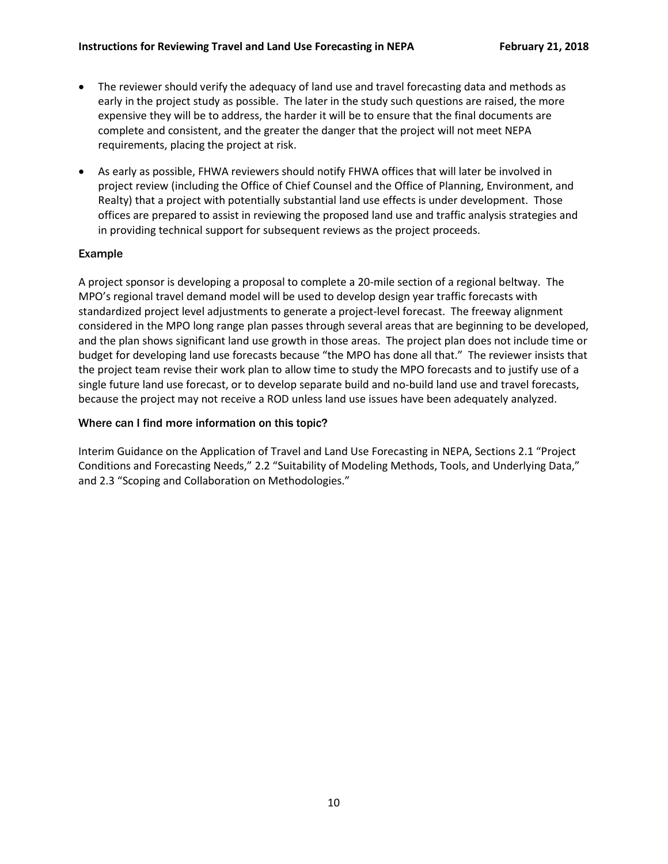- The reviewer should verify the adequacy of land use and travel forecasting data and methods as early in the project study as possible. The later in the study such questions are raised, the more expensive they will be to address, the harder it will be to ensure that the final documents are complete and consistent, and the greater the danger that the project will not meet NEPA requirements, placing the project at risk.
- As early as possible, FHWA reviewers should notify FHWA offices that will later be involved in project review (including the Office of Chief Counsel and the Office of Planning, Environment, and Realty) that a project with potentially substantial land use effects is under development. Those offices are prepared to assist in reviewing the proposed land use and traffic analysis strategies and in providing technical support for subsequent reviews as the project proceeds.

# Example

A project sponsor is developing a proposal to complete a 20-mile section of a regional beltway. The MPO's regional travel demand model will be used to develop design year traffic forecasts with standardized project level adjustments to generate a project-level forecast. The freeway alignment considered in the MPO long range plan passes through several areas that are beginning to be developed, and the plan shows significant land use growth in those areas. The project plan does not include time or budget for developing land use forecasts because "the MPO has done all that." The reviewer insists that the project team revise their work plan to allow time to study the MPO forecasts and to justify use of a single future land use forecast, or to develop separate build and no-build land use and travel forecasts, because the project may not receive a ROD unless land use issues have been adequately analyzed.

#### Where can I find more information on this topic?

Interim Guidance on the Application of Travel and Land Use Forecasting in NEPA, Sections 2.1 "Project Conditions and Forecasting Needs," 2.2 "Suitability of Modeling Methods, Tools, and Underlying Data," and 2.3 "Scoping and Collaboration on Methodologies."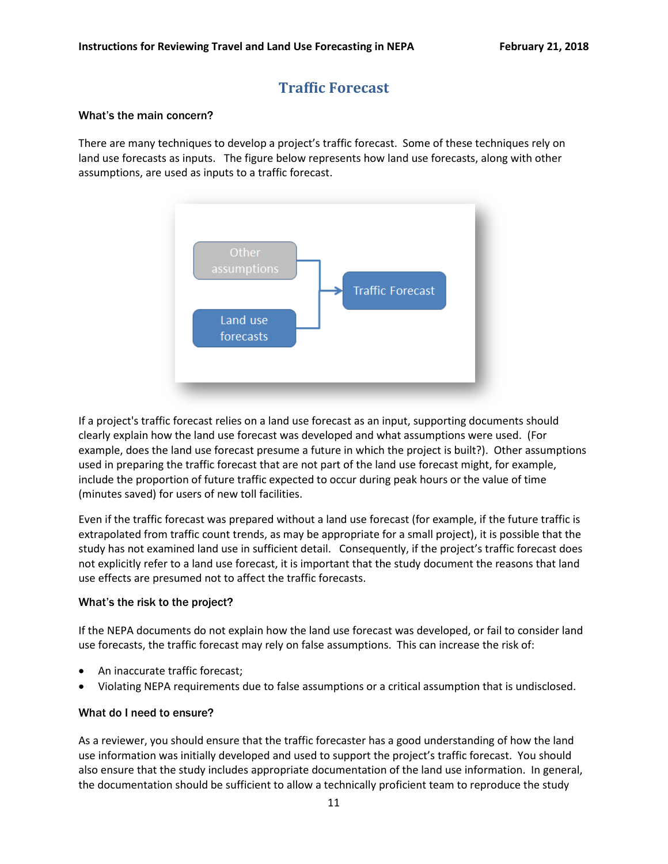# **Traffic Forecast**

#### <span id="page-10-0"></span>What's the main concern?

There are many techniques to develop a project's traffic forecast. Some of these techniques rely on land use forecasts as inputs. The figure below represents how land use forecasts, along with other assumptions, are used as inputs to a traffic forecast.



If a project's traffic forecast relies on a land use forecast as an input, supporting documents should clearly explain how the land use forecast was developed and what assumptions were used. (For example, does the land use forecast presume a future in which the project is built?). Other assumptions used in preparing the traffic forecast that are not part of the land use forecast might, for example, include the proportion of future traffic expected to occur during peak hours or the value of time (minutes saved) for users of new toll facilities.

Even if the traffic forecast was prepared without a land use forecast (for example, if the future traffic is extrapolated from traffic count trends, as may be appropriate for a small project), it is possible that the study has not examined land use in sufficient detail. Consequently, if the project's traffic forecast does not explicitly refer to a land use forecast, it is important that the study document the reasons that land use effects are presumed not to affect the traffic forecasts.

#### What's the risk to the project?

If the NEPA documents do not explain how the land use forecast was developed, or fail to consider land use forecasts, the traffic forecast may rely on false assumptions. This can increase the risk of:

- An inaccurate traffic forecast;
- Violating NEPA requirements due to false assumptions or a critical assumption that is undisclosed.

#### What do I need to ensure?

As a reviewer, you should ensure that the traffic forecaster has a good understanding of how the land use information was initially developed and used to support the project's traffic forecast. You should also ensure that the study includes appropriate documentation of the land use information. In general, the documentation should be sufficient to allow a technically proficient team to reproduce the study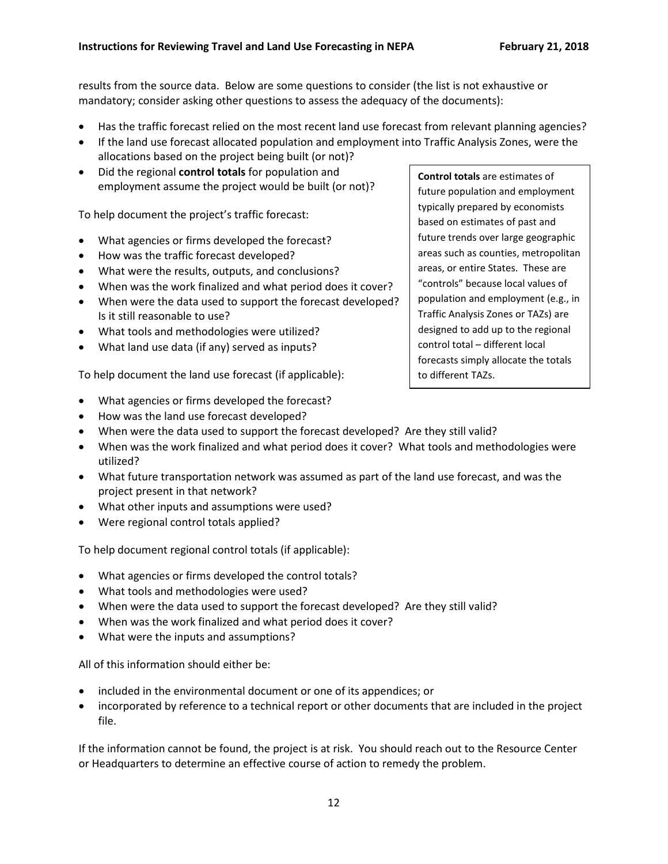results from the source data. Below are some questions to consider (the list is not exhaustive or mandatory; consider asking other questions to assess the adequacy of the documents):

- Has the traffic forecast relied on the most recent land use forecast from relevant planning agencies?
- If the land use forecast allocated population and employment into Traffic Analysis Zones, were the allocations based on the project being built (or not)?
- Did the regional **control totals** for population and employment assume the project would be built (or not)?

To help document the project's traffic forecast:

- What agencies or firms developed the forecast?
- How was the traffic forecast developed?
- What were the results, outputs, and conclusions?
- When was the work finalized and what period does it cover?
- When were the data used to support the forecast developed? Is it still reasonable to use?
- What tools and methodologies were utilized?
- What land use data (if any) served as inputs?

To help document the land use forecast (if applicable):

- What agencies or firms developed the forecast?
- How was the land use forecast developed?
- When were the data used to support the forecast developed? Are they still valid?
- When was the work finalized and what period does it cover? What tools and methodologies were utilized?
- What future transportation network was assumed as part of the land use forecast, and was the project present in that network?
- What other inputs and assumptions were used?
- Were regional control totals applied?

To help document regional control totals (if applicable):

- What agencies or firms developed the control totals?
- What tools and methodologies were used?
- When were the data used to support the forecast developed? Are they still valid?
- When was the work finalized and what period does it cover?
- What were the inputs and assumptions?

All of this information should either be:

- included in the environmental document or one of its appendices; or
- incorporated by reference to a technical report or other documents that are included in the project file.

If the information cannot be found, the project is at risk. You should reach out to the Resource Center or Headquarters to determine an effective course of action to remedy the problem.

**Control totals** are estimates of future population and employment typically prepared by economists based on estimates of past and future trends over large geographic areas such as counties, metropolitan areas, or entire States. These are "controls" because local values of population and employment (e.g., in Traffic Analysis Zones or TAZs) are designed to add up to the regional control total – different local forecasts simply allocate the totals to different TAZs.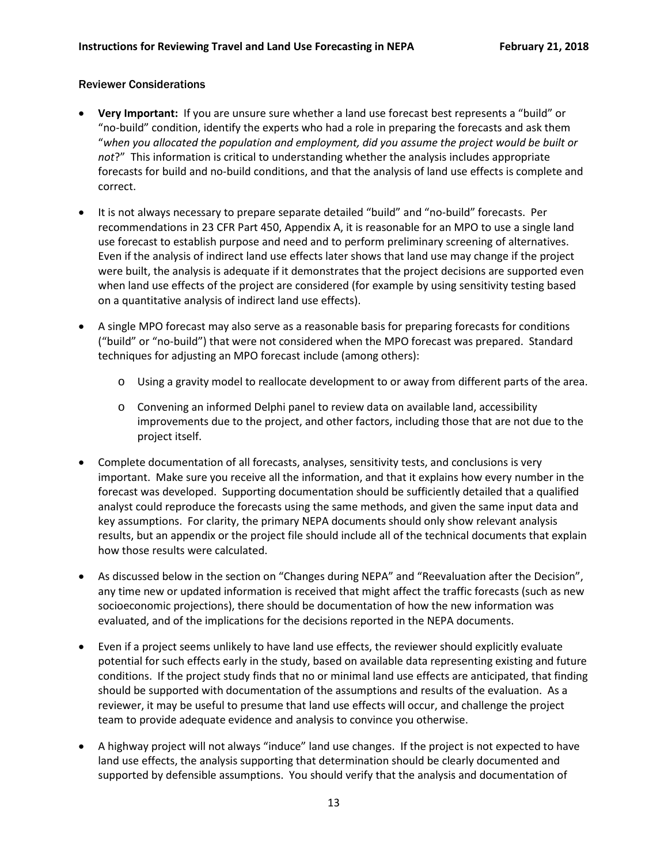### Reviewer Considerations

- **Very Important:** If you are unsure sure whether a land use forecast best represents a "build" or "no-build" condition, identify the experts who had a role in preparing the forecasts and ask them "*when you allocated the population and employment, did you assume the project would be built or not*?" This information is critical to understanding whether the analysis includes appropriate forecasts for build and no-build conditions, and that the analysis of land use effects is complete and correct.
- It is not always necessary to prepare separate detailed "build" and "no-build" forecasts. Per recommendations in 23 CFR Part 450, Appendix A, it is reasonable for an MPO to use a single land use forecast to establish purpose and need and to perform preliminary screening of alternatives. Even if the analysis of indirect land use effects later shows that land use may change if the project were built, the analysis is adequate if it demonstrates that the project decisions are supported even when land use effects of the project are considered (for example by using sensitivity testing based on a quantitative analysis of indirect land use effects).
- A single MPO forecast may also serve as a reasonable basis for preparing forecasts for conditions ("build" or "no-build") that were not considered when the MPO forecast was prepared. Standard techniques for adjusting an MPO forecast include (among others):
	- o Using a gravity model to reallocate development to or away from different parts of the area.
	- o Convening an informed Delphi panel to review data on available land, accessibility improvements due to the project, and other factors, including those that are not due to the project itself.
- Complete documentation of all forecasts, analyses, sensitivity tests, and conclusions is very important. Make sure you receive all the information, and that it explains how every number in the forecast was developed. Supporting documentation should be sufficiently detailed that a qualified analyst could reproduce the forecasts using the same methods, and given the same input data and key assumptions. For clarity, the primary NEPA documents should only show relevant analysis results, but an appendix or the project file should include all of the technical documents that explain how those results were calculated.
- As discussed below in the section on "Changes during NEPA" and "Reevaluation after the Decision", any time new or updated information is received that might affect the traffic forecasts (such as new socioeconomic projections), there should be documentation of how the new information was evaluated, and of the implications for the decisions reported in the NEPA documents.
- Even if a project seems unlikely to have land use effects, the reviewer should explicitly evaluate potential for such effects early in the study, based on available data representing existing and future conditions. If the project study finds that no or minimal land use effects are anticipated, that finding should be supported with documentation of the assumptions and results of the evaluation. As a reviewer, it may be useful to presume that land use effects will occur, and challenge the project team to provide adequate evidence and analysis to convince you otherwise.
- A highway project will not always "induce" land use changes. If the project is not expected to have land use effects, the analysis supporting that determination should be clearly documented and supported by defensible assumptions. You should verify that the analysis and documentation of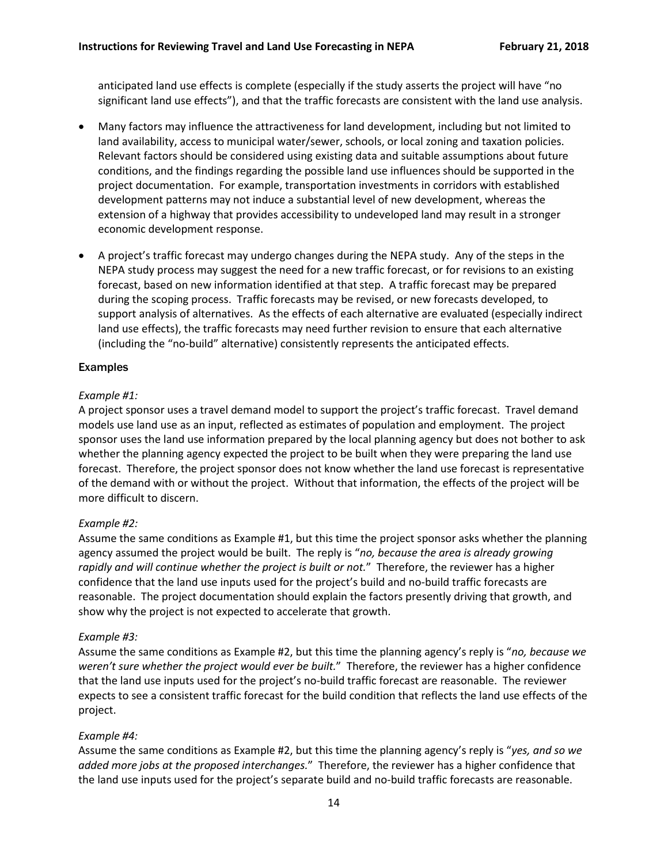anticipated land use effects is complete (especially if the study asserts the project will have "no significant land use effects"), and that the traffic forecasts are consistent with the land use analysis.

- Many factors may influence the attractiveness for land development, including but not limited to land availability, access to municipal water/sewer, schools, or local zoning and taxation policies. Relevant factors should be considered using existing data and suitable assumptions about future conditions, and the findings regarding the possible land use influences should be supported in the project documentation. For example, transportation investments in corridors with established development patterns may not induce a substantial level of new development, whereas the extension of a highway that provides accessibility to undeveloped land may result in a stronger economic development response.
- A project's traffic forecast may undergo changes during the NEPA study. Any of the steps in the NEPA study process may suggest the need for a new traffic forecast, or for revisions to an existing forecast, based on new information identified at that step. A traffic forecast may be prepared during the scoping process. Traffic forecasts may be revised, or new forecasts developed, to support analysis of alternatives. As the effects of each alternative are evaluated (especially indirect land use effects), the traffic forecasts may need further revision to ensure that each alternative (including the "no-build" alternative) consistently represents the anticipated effects.

# Examples

# *Example #1:*

A project sponsor uses a travel demand model to support the project's traffic forecast. Travel demand models use land use as an input, reflected as estimates of population and employment. The project sponsor uses the land use information prepared by the local planning agency but does not bother to ask whether the planning agency expected the project to be built when they were preparing the land use forecast. Therefore, the project sponsor does not know whether the land use forecast is representative of the demand with or without the project. Without that information, the effects of the project will be more difficult to discern.

#### *Example #2:*

Assume the same conditions as Example #1, but this time the project sponsor asks whether the planning agency assumed the project would be built. The reply is "*no, because the area is already growing rapidly and will continue whether the project is built or not.*" Therefore, the reviewer has a higher confidence that the land use inputs used for the project's build and no-build traffic forecasts are reasonable. The project documentation should explain the factors presently driving that growth, and show why the project is not expected to accelerate that growth.

#### *Example #3:*

Assume the same conditions as Example #2, but this time the planning agency's reply is "*no, because we weren't sure whether the project would ever be built.*" Therefore, the reviewer has a higher confidence that the land use inputs used for the project's no-build traffic forecast are reasonable. The reviewer expects to see a consistent traffic forecast for the build condition that reflects the land use effects of the project.

# *Example #4:*

Assume the same conditions as Example #2, but this time the planning agency's reply is "*yes, and so we added more jobs at the proposed interchanges.*" Therefore, the reviewer has a higher confidence that the land use inputs used for the project's separate build and no-build traffic forecasts are reasonable.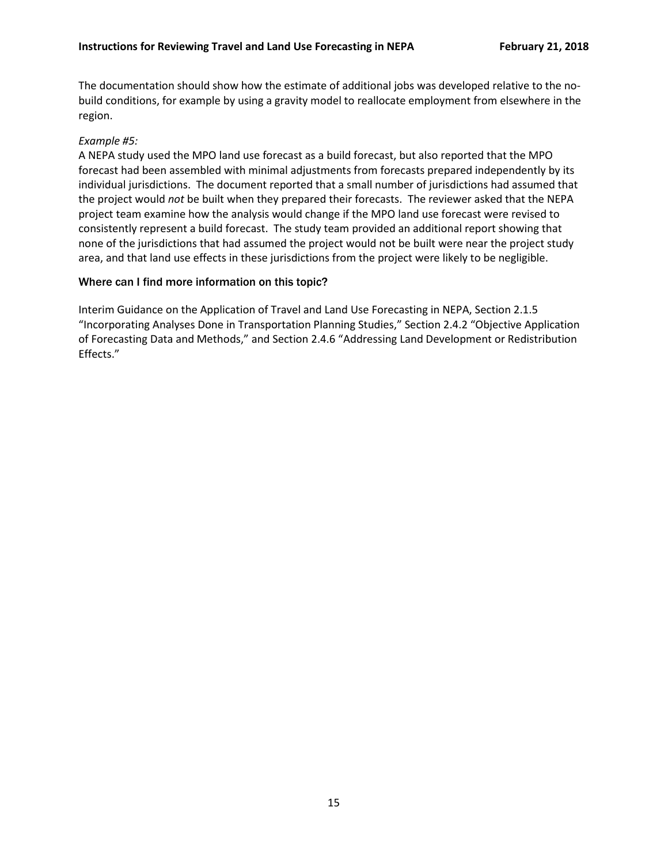The documentation should show how the estimate of additional jobs was developed relative to the nobuild conditions, for example by using a gravity model to reallocate employment from elsewhere in the region.

### *Example #5:*

A NEPA study used the MPO land use forecast as a build forecast, but also reported that the MPO forecast had been assembled with minimal adjustments from forecasts prepared independently by its individual jurisdictions. The document reported that a small number of jurisdictions had assumed that the project would *not* be built when they prepared their forecasts. The reviewer asked that the NEPA project team examine how the analysis would change if the MPO land use forecast were revised to consistently represent a build forecast. The study team provided an additional report showing that none of the jurisdictions that had assumed the project would not be built were near the project study area, and that land use effects in these jurisdictions from the project were likely to be negligible.

#### Where can I find more information on this topic?

Interim Guidance on the Application of Travel and Land Use Forecasting in NEPA, Section 2.1.5 "Incorporating Analyses Done in Transportation Planning Studies," Section 2.4.2 "Objective Application of Forecasting Data and Methods," and Section 2.4.6 "Addressing Land Development or Redistribution Effects."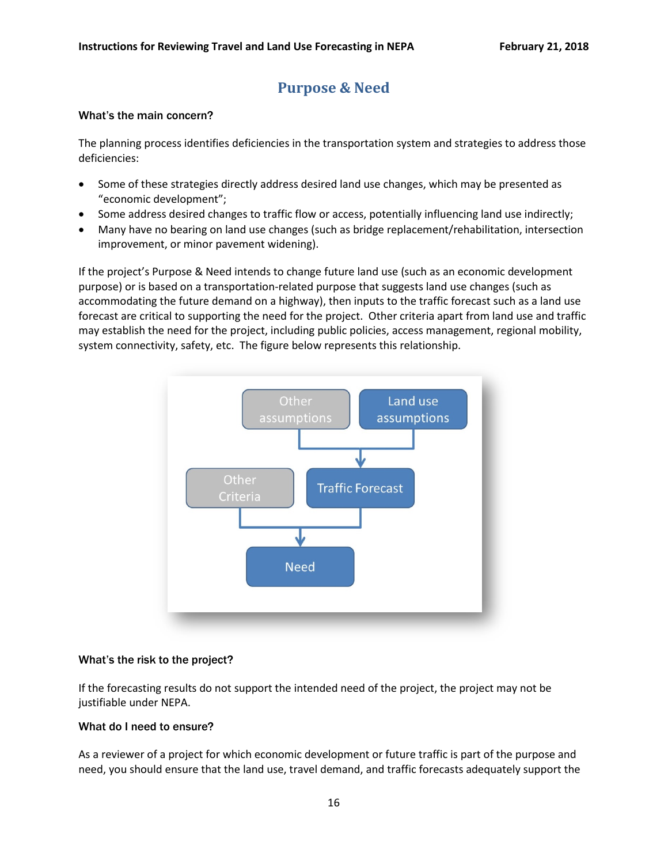# **Purpose & Need**

#### <span id="page-15-0"></span>What's the main concern?

The planning process identifies deficiencies in the transportation system and strategies to address those deficiencies:

- Some of these strategies directly address desired land use changes, which may be presented as "economic development";
- Some address desired changes to traffic flow or access, potentially influencing land use indirectly;
- Many have no bearing on land use changes (such as bridge replacement/rehabilitation, intersection improvement, or minor pavement widening).

If the project's Purpose & Need intends to change future land use (such as an economic development purpose) or is based on a transportation-related purpose that suggests land use changes (such as accommodating the future demand on a highway), then inputs to the traffic forecast such as a land use forecast are critical to supporting the need for the project. Other criteria apart from land use and traffic may establish the need for the project, including public policies, access management, regional mobility, system connectivity, safety, etc. The figure below represents this relationship.



#### What's the risk to the project?

If the forecasting results do not support the intended need of the project, the project may not be justifiable under NEPA.

#### What do I need to ensure?

As a reviewer of a project for which economic development or future traffic is part of the purpose and need, you should ensure that the land use, travel demand, and traffic forecasts adequately support the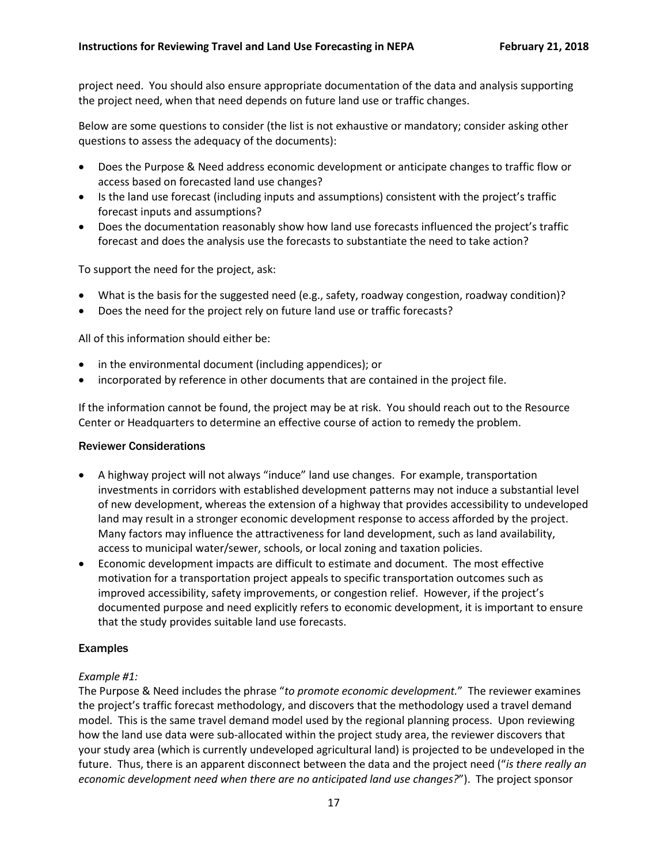project need. You should also ensure appropriate documentation of the data and analysis supporting the project need, when that need depends on future land use or traffic changes.

Below are some questions to consider (the list is not exhaustive or mandatory; consider asking other questions to assess the adequacy of the documents):

- Does the Purpose & Need address economic development or anticipate changes to traffic flow or access based on forecasted land use changes?
- Is the land use forecast (including inputs and assumptions) consistent with the project's traffic forecast inputs and assumptions?
- Does the documentation reasonably show how land use forecasts influenced the project's traffic forecast and does the analysis use the forecasts to substantiate the need to take action?

To support the need for the project, ask:

- What is the basis for the suggested need (e.g., safety, roadway congestion, roadway condition)?
- Does the need for the project rely on future land use or traffic forecasts?

All of this information should either be:

- in the environmental document (including appendices); or
- incorporated by reference in other documents that are contained in the project file.

If the information cannot be found, the project may be at risk. You should reach out to the Resource Center or Headquarters to determine an effective course of action to remedy the problem.

#### Reviewer Considerations

- A highway project will not always "induce" land use changes. For example, transportation investments in corridors with established development patterns may not induce a substantial level of new development, whereas the extension of a highway that provides accessibility to undeveloped land may result in a stronger economic development response to access afforded by the project. Many factors may influence the attractiveness for land development, such as land availability, access to municipal water/sewer, schools, or local zoning and taxation policies.
- Economic development impacts are difficult to estimate and document. The most effective motivation for a transportation project appeals to specific transportation outcomes such as improved accessibility, safety improvements, or congestion relief. However, if the project's documented purpose and need explicitly refers to economic development, it is important to ensure that the study provides suitable land use forecasts.

#### Examples

#### *Example #1:*

The Purpose & Need includes the phrase "*to promote economic development.*" The reviewer examines the project's traffic forecast methodology, and discovers that the methodology used a travel demand model. This is the same travel demand model used by the regional planning process. Upon reviewing how the land use data were sub-allocated within the project study area, the reviewer discovers that your study area (which is currently undeveloped agricultural land) is projected to be undeveloped in the future. Thus, there is an apparent disconnect between the data and the project need ("*is there really an economic development need when there are no anticipated land use changes?*"). The project sponsor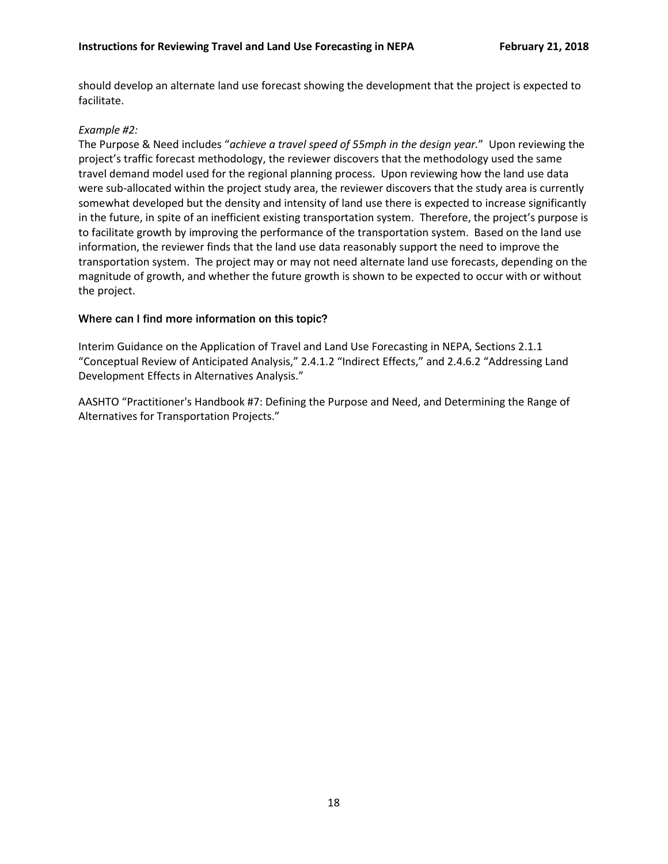should develop an alternate land use forecast showing the development that the project is expected to facilitate.

#### *Example #2:*

The Purpose & Need includes "*achieve a travel speed of 55mph in the design year.*" Upon reviewing the project's traffic forecast methodology, the reviewer discovers that the methodology used the same travel demand model used for the regional planning process. Upon reviewing how the land use data were sub-allocated within the project study area, the reviewer discovers that the study area is currently somewhat developed but the density and intensity of land use there is expected to increase significantly in the future, in spite of an inefficient existing transportation system. Therefore, the project's purpose is to facilitate growth by improving the performance of the transportation system. Based on the land use information, the reviewer finds that the land use data reasonably support the need to improve the transportation system. The project may or may not need alternate land use forecasts, depending on the magnitude of growth, and whether the future growth is shown to be expected to occur with or without the project.

#### Where can I find more information on this topic?

Interim Guidance on the Application of Travel and Land Use Forecasting in NEPA, Sections 2.1.1 "Conceptual Review of Anticipated Analysis," 2.4.1.2 "Indirect Effects," and 2.4.6.2 "Addressing Land Development Effects in Alternatives Analysis."

AASHTO "Practitioner's Handbook #7: Defining the Purpose and Need, and Determining the Range of Alternatives for Transportation Projects."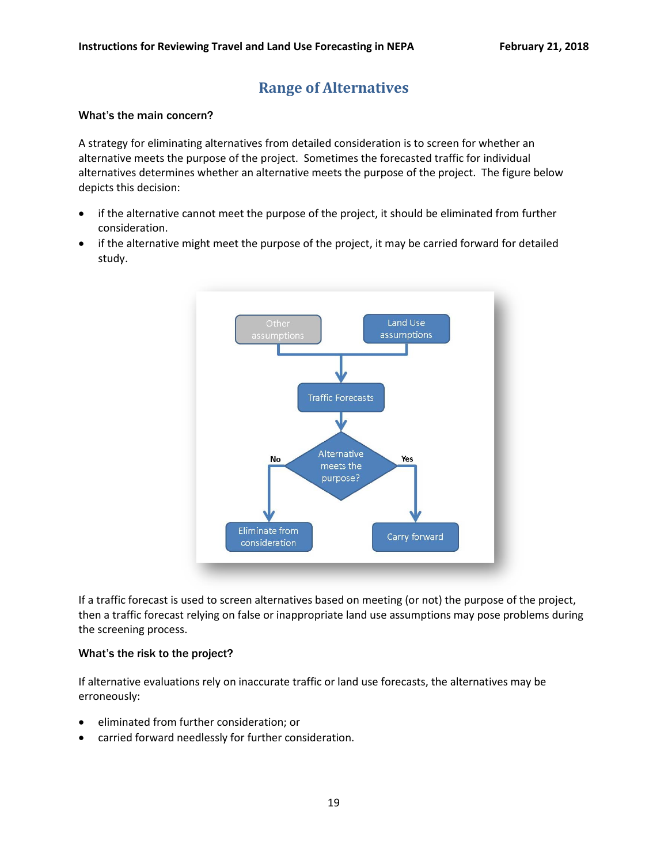# **Range of Alternatives**

#### <span id="page-18-0"></span>What's the main concern?

A strategy for eliminating alternatives from detailed consideration is to screen for whether an alternative meets the purpose of the project. Sometimes the forecasted traffic for individual alternatives determines whether an alternative meets the purpose of the project. The figure below depicts this decision:

- if the alternative cannot meet the purpose of the project, it should be eliminated from further consideration.
- if the alternative might meet the purpose of the project, it may be carried forward for detailed study.



If a traffic forecast is used to screen alternatives based on meeting (or not) the purpose of the project, then a traffic forecast relying on false or inappropriate land use assumptions may pose problems during the screening process.

#### What's the risk to the project?

If alternative evaluations rely on inaccurate traffic or land use forecasts, the alternatives may be erroneously:

- eliminated from further consideration; or
- carried forward needlessly for further consideration.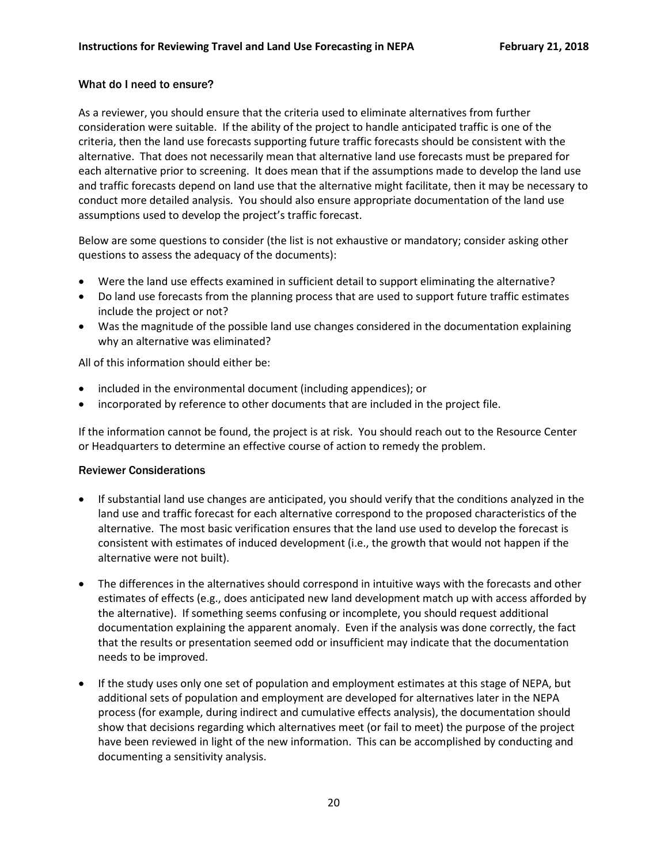# What do I need to ensure?

As a reviewer, you should ensure that the criteria used to eliminate alternatives from further consideration were suitable. If the ability of the project to handle anticipated traffic is one of the criteria, then the land use forecasts supporting future traffic forecasts should be consistent with the alternative. That does not necessarily mean that alternative land use forecasts must be prepared for each alternative prior to screening. It does mean that if the assumptions made to develop the land use and traffic forecasts depend on land use that the alternative might facilitate, then it may be necessary to conduct more detailed analysis. You should also ensure appropriate documentation of the land use assumptions used to develop the project's traffic forecast.

Below are some questions to consider (the list is not exhaustive or mandatory; consider asking other questions to assess the adequacy of the documents):

- Were the land use effects examined in sufficient detail to support eliminating the alternative?
- Do land use forecasts from the planning process that are used to support future traffic estimates include the project or not?
- Was the magnitude of the possible land use changes considered in the documentation explaining why an alternative was eliminated?

All of this information should either be:

- included in the environmental document (including appendices); or
- incorporated by reference to other documents that are included in the project file.

If the information cannot be found, the project is at risk. You should reach out to the Resource Center or Headquarters to determine an effective course of action to remedy the problem.

#### Reviewer Considerations

- If substantial land use changes are anticipated, you should verify that the conditions analyzed in the land use and traffic forecast for each alternative correspond to the proposed characteristics of the alternative. The most basic verification ensures that the land use used to develop the forecast is consistent with estimates of induced development (i.e., the growth that would not happen if the alternative were not built).
- The differences in the alternatives should correspond in intuitive ways with the forecasts and other estimates of effects (e.g., does anticipated new land development match up with access afforded by the alternative). If something seems confusing or incomplete, you should request additional documentation explaining the apparent anomaly. Even if the analysis was done correctly, the fact that the results or presentation seemed odd or insufficient may indicate that the documentation needs to be improved.
- If the study uses only one set of population and employment estimates at this stage of NEPA, but additional sets of population and employment are developed for alternatives later in the NEPA process (for example, during indirect and cumulative effects analysis), the documentation should show that decisions regarding which alternatives meet (or fail to meet) the purpose of the project have been reviewed in light of the new information. This can be accomplished by conducting and documenting a sensitivity analysis.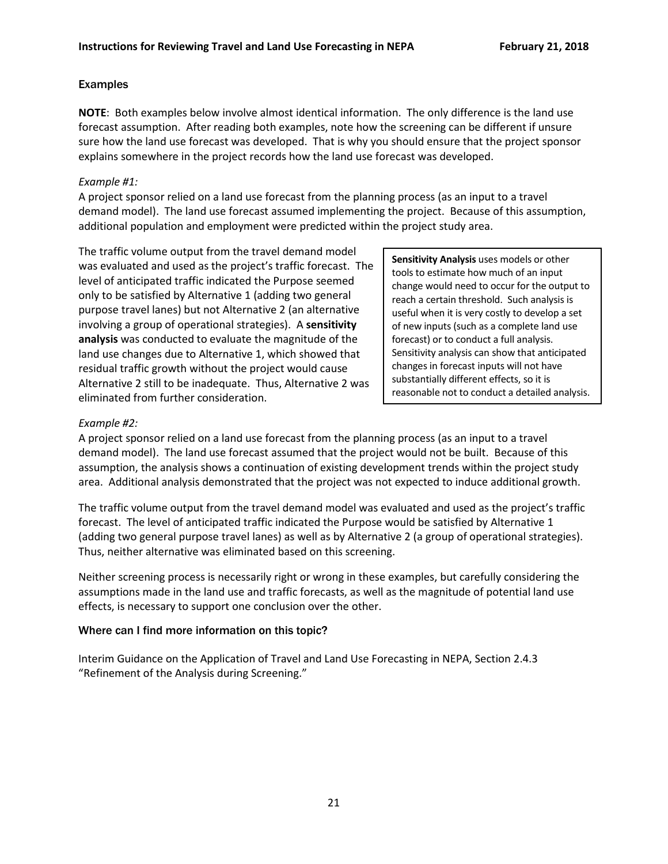# Examples

**NOTE**: Both examples below involve almost identical information. The only difference is the land use forecast assumption. After reading both examples, note how the screening can be different if unsure sure how the land use forecast was developed. That is why you should ensure that the project sponsor explains somewhere in the project records how the land use forecast was developed.

### *Example #1:*

A project sponsor relied on a land use forecast from the planning process (as an input to a travel demand model). The land use forecast assumed implementing the project. Because of this assumption, additional population and employment were predicted within the project study area.

The traffic volume output from the travel demand model was evaluated and used as the project's traffic forecast. The level of anticipated traffic indicated the Purpose seemed only to be satisfied by Alternative 1 (adding two general purpose travel lanes) but not Alternative 2 (an alternative involving a group of operational strategies). A **sensitivity analysis** was conducted to evaluate the magnitude of the land use changes due to Alternative 1, which showed that residual traffic growth without the project would cause Alternative 2 still to be inadequate. Thus, Alternative 2 was eliminated from further consideration.

**Sensitivity Analysis** uses models or other tools to estimate how much of an input change would need to occur for the output to reach a certain threshold. Such analysis is useful when it is very costly to develop a set of new inputs (such as a complete land use forecast) or to conduct a full analysis. Sensitivity analysis can show that anticipated changes in forecast inputs will not have substantially different effects, so it is reasonable not to conduct a detailed analysis.

# *Example #2:*

A project sponsor relied on a land use forecast from the planning process (as an input to a travel demand model). The land use forecast assumed that the project would not be built. Because of this assumption, the analysis shows a continuation of existing development trends within the project study area. Additional analysis demonstrated that the project was not expected to induce additional growth.

The traffic volume output from the travel demand model was evaluated and used as the project's traffic forecast. The level of anticipated traffic indicated the Purpose would be satisfied by Alternative 1 (adding two general purpose travel lanes) as well as by Alternative 2 (a group of operational strategies). Thus, neither alternative was eliminated based on this screening.

Neither screening process is necessarily right or wrong in these examples, but carefully considering the assumptions made in the land use and traffic forecasts, as well as the magnitude of potential land use effects, is necessary to support one conclusion over the other.

# Where can I find more information on this topic?

Interim Guidance on the Application of Travel and Land Use Forecasting in NEPA, Section 2.4.3 "Refinement of the Analysis during Screening."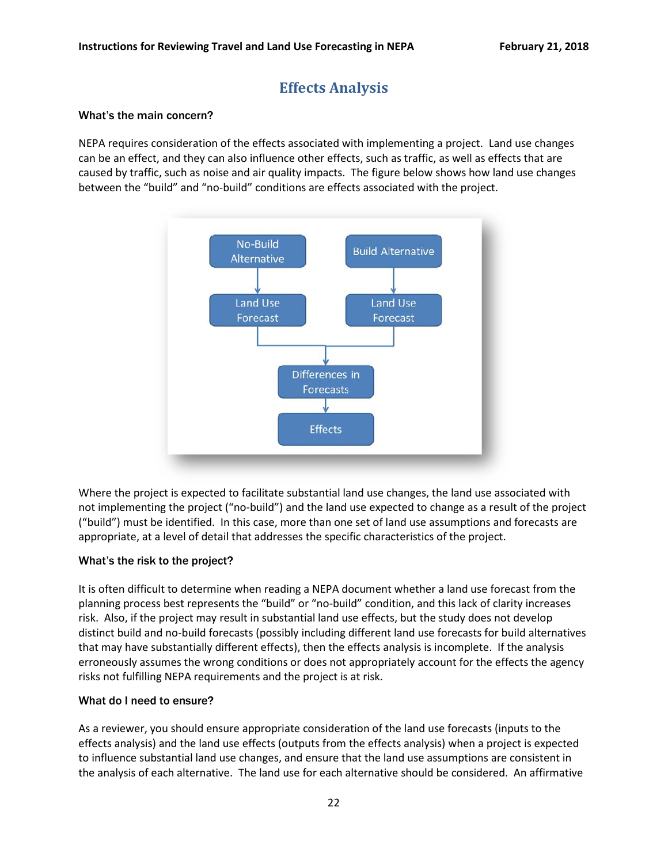# **Effects Analysis**

#### <span id="page-21-0"></span>What's the main concern?

NEPA requires consideration of the effects associated with implementing a project. Land use changes can be an effect, and they can also influence other effects, such as traffic, as well as effects that are caused by traffic, such as noise and air quality impacts. The figure below shows how land use changes between the "build" and "no-build" conditions are effects associated with the project.



Where the project is expected to facilitate substantial land use changes, the land use associated with not implementing the project ("no-build") and the land use expected to change as a result of the project ("build") must be identified. In this case, more than one set of land use assumptions and forecasts are appropriate, at a level of detail that addresses the specific characteristics of the project.

#### What's the risk to the project?

It is often difficult to determine when reading a NEPA document whether a land use forecast from the planning process best represents the "build" or "no-build" condition, and this lack of clarity increases risk. Also, if the project may result in substantial land use effects, but the study does not develop distinct build and no-build forecasts (possibly including different land use forecasts for build alternatives that may have substantially different effects), then the effects analysis is incomplete. If the analysis erroneously assumes the wrong conditions or does not appropriately account for the effects the agency risks not fulfilling NEPA requirements and the project is at risk.

#### What do I need to ensure?

As a reviewer, you should ensure appropriate consideration of the land use forecasts (inputs to the effects analysis) and the land use effects (outputs from the effects analysis) when a project is expected to influence substantial land use changes, and ensure that the land use assumptions are consistent in the analysis of each alternative. The land use for each alternative should be considered. An affirmative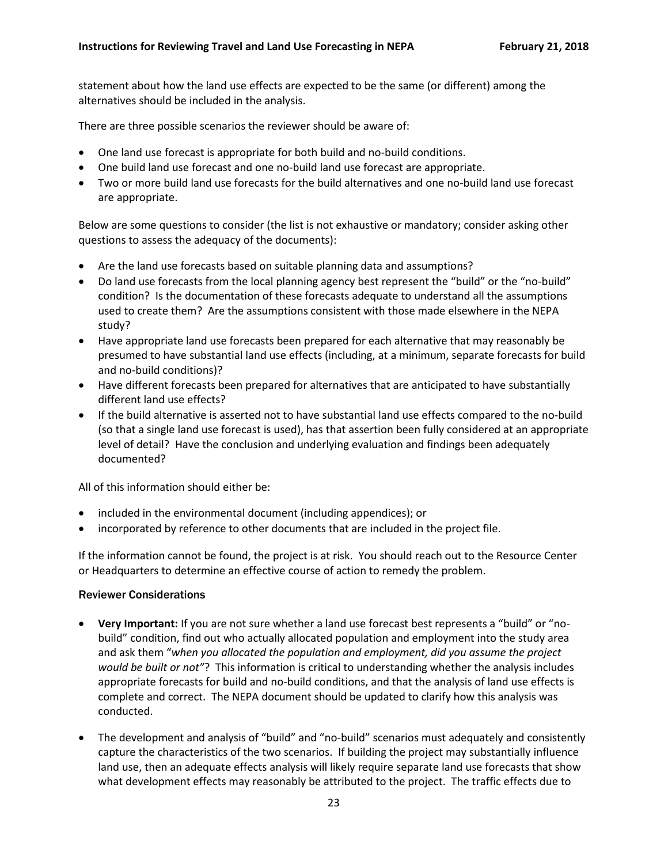statement about how the land use effects are expected to be the same (or different) among the alternatives should be included in the analysis.

There are three possible scenarios the reviewer should be aware of:

- One land use forecast is appropriate for both build and no-build conditions.
- One build land use forecast and one no-build land use forecast are appropriate.
- Two or more build land use forecasts for the build alternatives and one no-build land use forecast are appropriate.

Below are some questions to consider (the list is not exhaustive or mandatory; consider asking other questions to assess the adequacy of the documents):

- Are the land use forecasts based on suitable planning data and assumptions?
- Do land use forecasts from the local planning agency best represent the "build" or the "no-build" condition? Is the documentation of these forecasts adequate to understand all the assumptions used to create them? Are the assumptions consistent with those made elsewhere in the NEPA study?
- Have appropriate land use forecasts been prepared for each alternative that may reasonably be presumed to have substantial land use effects (including, at a minimum, separate forecasts for build and no-build conditions)?
- Have different forecasts been prepared for alternatives that are anticipated to have substantially different land use effects?
- If the build alternative is asserted not to have substantial land use effects compared to the no-build (so that a single land use forecast is used), has that assertion been fully considered at an appropriate level of detail? Have the conclusion and underlying evaluation and findings been adequately documented?

All of this information should either be:

- included in the environmental document (including appendices); or
- incorporated by reference to other documents that are included in the project file.

If the information cannot be found, the project is at risk. You should reach out to the Resource Center or Headquarters to determine an effective course of action to remedy the problem.

#### Reviewer Considerations

- **Very Important:** If you are not sure whether a land use forecast best represents a "build" or "nobuild" condition, find out who actually allocated population and employment into the study area and ask them "*when you allocated the population and employment, did you assume the project would be built or not"*? This information is critical to understanding whether the analysis includes appropriate forecasts for build and no-build conditions, and that the analysis of land use effects is complete and correct. The NEPA document should be updated to clarify how this analysis was conducted.
- The development and analysis of "build" and "no-build" scenarios must adequately and consistently capture the characteristics of the two scenarios. If building the project may substantially influence land use, then an adequate effects analysis will likely require separate land use forecasts that show what development effects may reasonably be attributed to the project. The traffic effects due to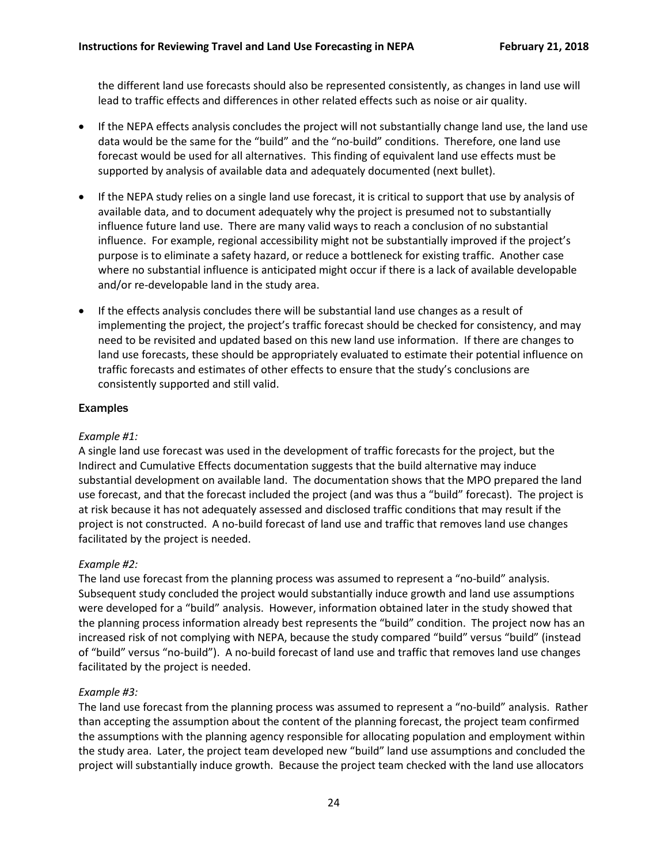the different land use forecasts should also be represented consistently, as changes in land use will lead to traffic effects and differences in other related effects such as noise or air quality.

- If the NEPA effects analysis concludes the project will not substantially change land use, the land use data would be the same for the "build" and the "no-build" conditions. Therefore, one land use forecast would be used for all alternatives. This finding of equivalent land use effects must be supported by analysis of available data and adequately documented (next bullet).
- If the NEPA study relies on a single land use forecast, it is critical to support that use by analysis of available data, and to document adequately why the project is presumed not to substantially influence future land use. There are many valid ways to reach a conclusion of no substantial influence. For example, regional accessibility might not be substantially improved if the project's purpose is to eliminate a safety hazard, or reduce a bottleneck for existing traffic. Another case where no substantial influence is anticipated might occur if there is a lack of available developable and/or re-developable land in the study area.
- If the effects analysis concludes there will be substantial land use changes as a result of implementing the project, the project's traffic forecast should be checked for consistency, and may need to be revisited and updated based on this new land use information. If there are changes to land use forecasts, these should be appropriately evaluated to estimate their potential influence on traffic forecasts and estimates of other effects to ensure that the study's conclusions are consistently supported and still valid.

# Examples

#### *Example #1:*

A single land use forecast was used in the development of traffic forecasts for the project, but the Indirect and Cumulative Effects documentation suggests that the build alternative may induce substantial development on available land. The documentation shows that the MPO prepared the land use forecast, and that the forecast included the project (and was thus a "build" forecast). The project is at risk because it has not adequately assessed and disclosed traffic conditions that may result if the project is not constructed. A no-build forecast of land use and traffic that removes land use changes facilitated by the project is needed.

#### *Example #2:*

The land use forecast from the planning process was assumed to represent a "no-build" analysis. Subsequent study concluded the project would substantially induce growth and land use assumptions were developed for a "build" analysis. However, information obtained later in the study showed that the planning process information already best represents the "build" condition. The project now has an increased risk of not complying with NEPA, because the study compared "build" versus "build" (instead of "build" versus "no-build"). A no-build forecast of land use and traffic that removes land use changes facilitated by the project is needed.

#### *Example #3:*

The land use forecast from the planning process was assumed to represent a "no-build" analysis. Rather than accepting the assumption about the content of the planning forecast, the project team confirmed the assumptions with the planning agency responsible for allocating population and employment within the study area. Later, the project team developed new "build" land use assumptions and concluded the project will substantially induce growth. Because the project team checked with the land use allocators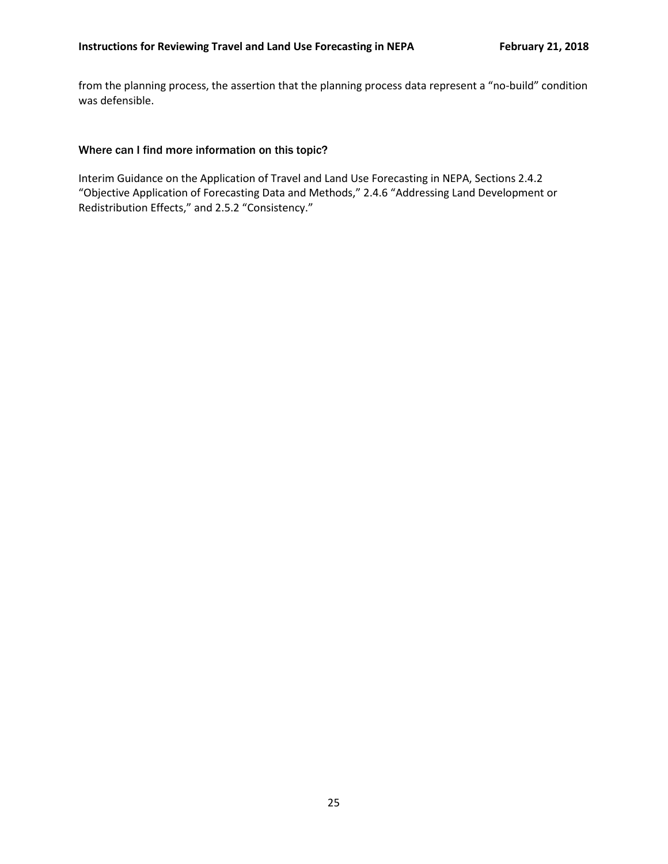from the planning process, the assertion that the planning process data represent a "no-build" condition was defensible.

#### Where can I find more information on this topic?

Interim Guidance on the Application of Travel and Land Use Forecasting in NEPA, Sections 2.4.2 "Objective Application of Forecasting Data and Methods," 2.4.6 "Addressing Land Development or Redistribution Effects," and 2.5.2 "Consistency."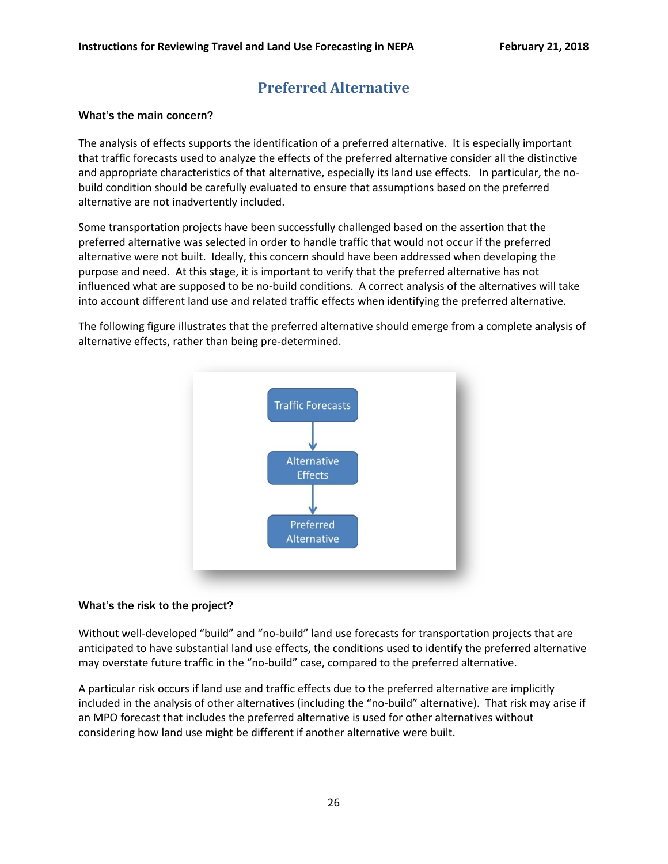# **Preferred Alternative**

#### <span id="page-25-0"></span>What's the main concern?

The analysis of effects supports the identification of a preferred alternative. It is especially important that traffic forecasts used to analyze the effects of the preferred alternative consider all the distinctive and appropriate characteristics of that alternative, especially its land use effects. In particular, the nobuild condition should be carefully evaluated to ensure that assumptions based on the preferred alternative are not inadvertently included.

Some transportation projects have been successfully challenged based on the assertion that the preferred alternative was selected in order to handle traffic that would not occur if the preferred alternative were not built. Ideally, this concern should have been addressed when developing the purpose and need. At this stage, it is important to verify that the preferred alternative has not influenced what are supposed to be no-build conditions. A correct analysis of the alternatives will take into account different land use and related traffic effects when identifying the preferred alternative.

The following figure illustrates that the preferred alternative should emerge from a complete analysis of alternative effects, rather than being pre-determined.



#### What's the risk to the project?

Without well-developed "build" and "no-build" land use forecasts for transportation projects that are anticipated to have substantial land use effects, the conditions used to identify the preferred alternative may overstate future traffic in the "no-build" case, compared to the preferred alternative.

A particular risk occurs if land use and traffic effects due to the preferred alternative are implicitly included in the analysis of other alternatives (including the "no-build" alternative). That risk may arise if an MPO forecast that includes the preferred alternative is used for other alternatives without considering how land use might be different if another alternative were built.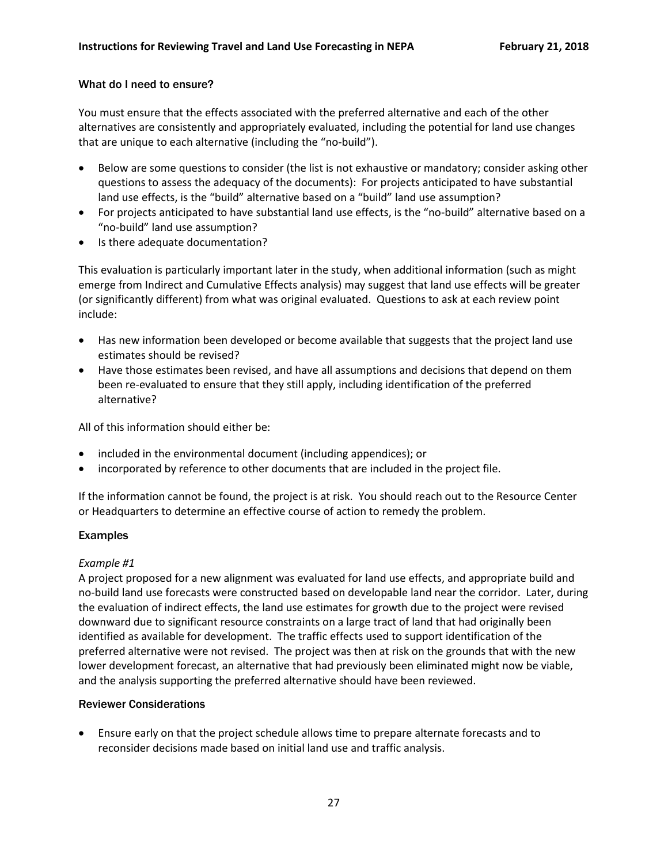# What do I need to ensure?

You must ensure that the effects associated with the preferred alternative and each of the other alternatives are consistently and appropriately evaluated, including the potential for land use changes that are unique to each alternative (including the "no-build").

- Below are some questions to consider (the list is not exhaustive or mandatory; consider asking other questions to assess the adequacy of the documents): For projects anticipated to have substantial land use effects, is the "build" alternative based on a "build" land use assumption?
- For projects anticipated to have substantial land use effects, is the "no-build" alternative based on a "no-build" land use assumption?
- Is there adequate documentation?

This evaluation is particularly important later in the study, when additional information (such as might emerge from Indirect and Cumulative Effects analysis) may suggest that land use effects will be greater (or significantly different) from what was original evaluated. Questions to ask at each review point include:

- Has new information been developed or become available that suggests that the project land use estimates should be revised?
- Have those estimates been revised, and have all assumptions and decisions that depend on them been re-evaluated to ensure that they still apply, including identification of the preferred alternative?

All of this information should either be:

- included in the environmental document (including appendices); or
- incorporated by reference to other documents that are included in the project file.

If the information cannot be found, the project is at risk. You should reach out to the Resource Center or Headquarters to determine an effective course of action to remedy the problem.

#### Examples

#### *Example #1*

A project proposed for a new alignment was evaluated for land use effects, and appropriate build and no-build land use forecasts were constructed based on developable land near the corridor. Later, during the evaluation of indirect effects, the land use estimates for growth due to the project were revised downward due to significant resource constraints on a large tract of land that had originally been identified as available for development. The traffic effects used to support identification of the preferred alternative were not revised. The project was then at risk on the grounds that with the new lower development forecast, an alternative that had previously been eliminated might now be viable, and the analysis supporting the preferred alternative should have been reviewed.

#### Reviewer Considerations

• Ensure early on that the project schedule allows time to prepare alternate forecasts and to reconsider decisions made based on initial land use and traffic analysis.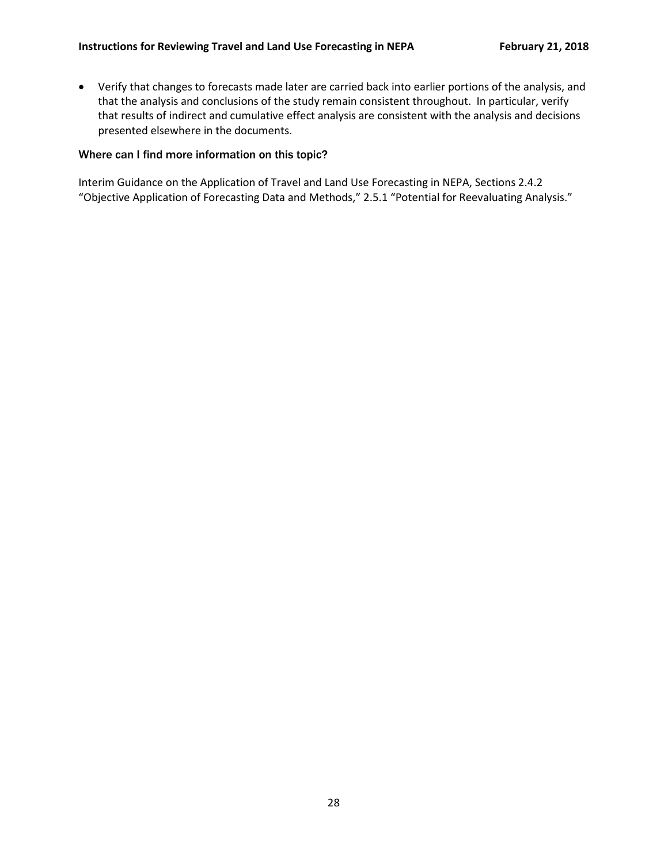• Verify that changes to forecasts made later are carried back into earlier portions of the analysis, and that the analysis and conclusions of the study remain consistent throughout. In particular, verify that results of indirect and cumulative effect analysis are consistent with the analysis and decisions presented elsewhere in the documents.

#### Where can I find more information on this topic?

Interim Guidance on the Application of Travel and Land Use Forecasting in NEPA, Sections 2.4.2 "Objective Application of Forecasting Data and Methods," 2.5.1 "Potential for Reevaluating Analysis."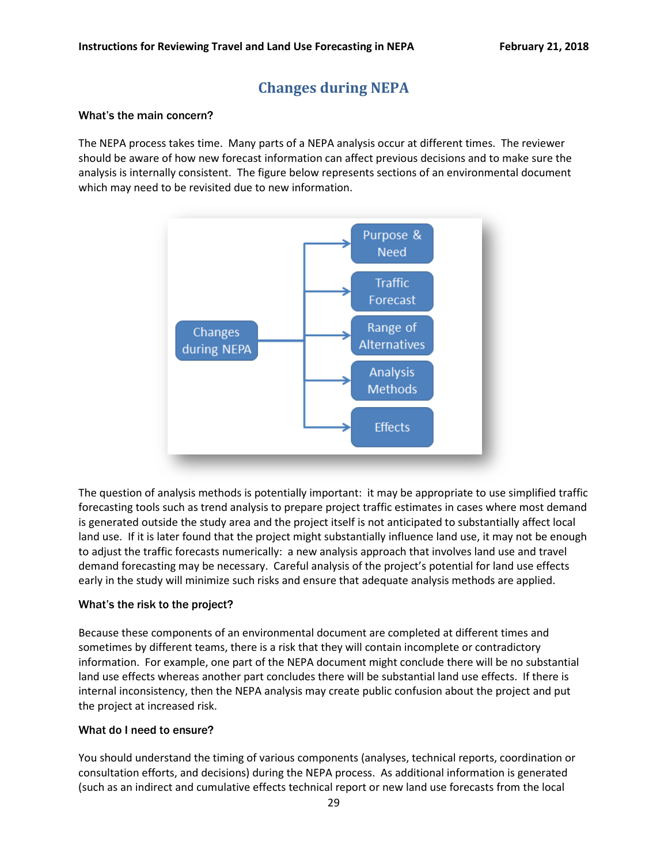# **Changes during NEPA**

#### <span id="page-28-0"></span>What's the main concern?

The NEPA process takes time. Many parts of a NEPA analysis occur at different times. The reviewer should be aware of how new forecast information can affect previous decisions and to make sure the analysis is internally consistent. The figure below represents sections of an environmental document which may need to be revisited due to new information.



The question of analysis methods is potentially important: it may be appropriate to use simplified traffic forecasting tools such as trend analysis to prepare project traffic estimates in cases where most demand is generated outside the study area and the project itself is not anticipated to substantially affect local land use. If it is later found that the project might substantially influence land use, it may not be enough to adjust the traffic forecasts numerically: a new analysis approach that involves land use and travel demand forecasting may be necessary. Careful analysis of the project's potential for land use effects early in the study will minimize such risks and ensure that adequate analysis methods are applied.

#### What's the risk to the project?

Because these components of an environmental document are completed at different times and sometimes by different teams, there is a risk that they will contain incomplete or contradictory information. For example, one part of the NEPA document might conclude there will be no substantial land use effects whereas another part concludes there will be substantial land use effects. If there is internal inconsistency, then the NEPA analysis may create public confusion about the project and put the project at increased risk.

#### What do I need to ensure?

You should understand the timing of various components (analyses, technical reports, coordination or consultation efforts, and decisions) during the NEPA process. As additional information is generated (such as an indirect and cumulative effects technical report or new land use forecasts from the local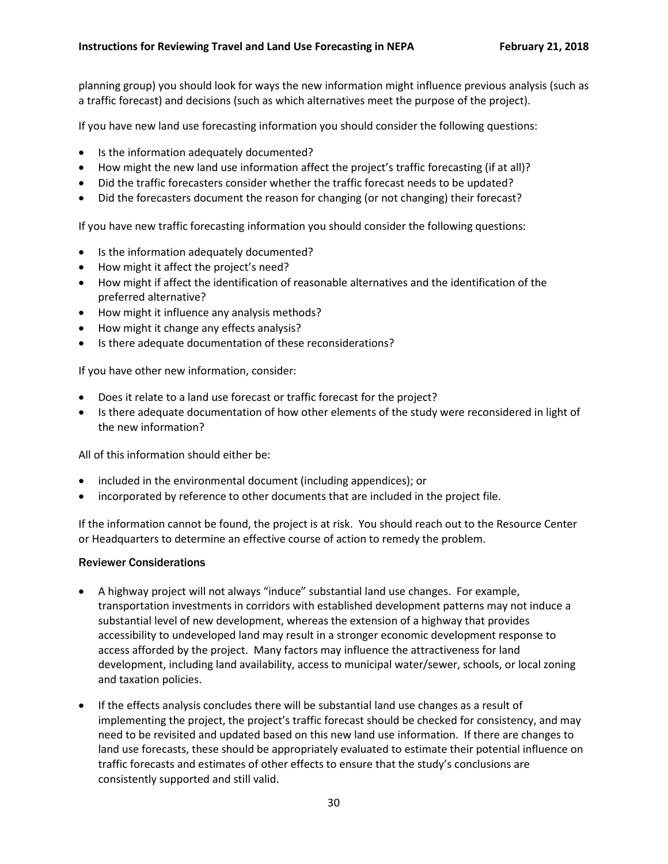planning group) you should look for ways the new information might influence previous analysis (such as a traffic forecast) and decisions (such as which alternatives meet the purpose of the project).

If you have new land use forecasting information you should consider the following questions:

- Is the information adequately documented?
- How might the new land use information affect the project's traffic forecasting (if at all)?
- Did the traffic forecasters consider whether the traffic forecast needs to be updated?
- Did the forecasters document the reason for changing (or not changing) their forecast?

If you have new traffic forecasting information you should consider the following questions:

- Is the information adequately documented?
- How might it affect the project's need?
- How might if affect the identification of reasonable alternatives and the identification of the preferred alternative?
- How might it influence any analysis methods?
- How might it change any effects analysis?
- Is there adequate documentation of these reconsiderations?

If you have other new information, consider:

- Does it relate to a land use forecast or traffic forecast for the project?
- Is there adequate documentation of how other elements of the study were reconsidered in light of the new information?

All of this information should either be:

- included in the environmental document (including appendices); or
- incorporated by reference to other documents that are included in the project file.

If the information cannot be found, the project is at risk. You should reach out to the Resource Center or Headquarters to determine an effective course of action to remedy the problem.

#### Reviewer Considerations

- A highway project will not always "induce" substantial land use changes. For example, transportation investments in corridors with established development patterns may not induce a substantial level of new development, whereas the extension of a highway that provides accessibility to undeveloped land may result in a stronger economic development response to access afforded by the project. Many factors may influence the attractiveness for land development, including land availability, access to municipal water/sewer, schools, or local zoning and taxation policies.
- If the effects analysis concludes there will be substantial land use changes as a result of implementing the project, the project's traffic forecast should be checked for consistency, and may need to be revisited and updated based on this new land use information. If there are changes to land use forecasts, these should be appropriately evaluated to estimate their potential influence on traffic forecasts and estimates of other effects to ensure that the study's conclusions are consistently supported and still valid.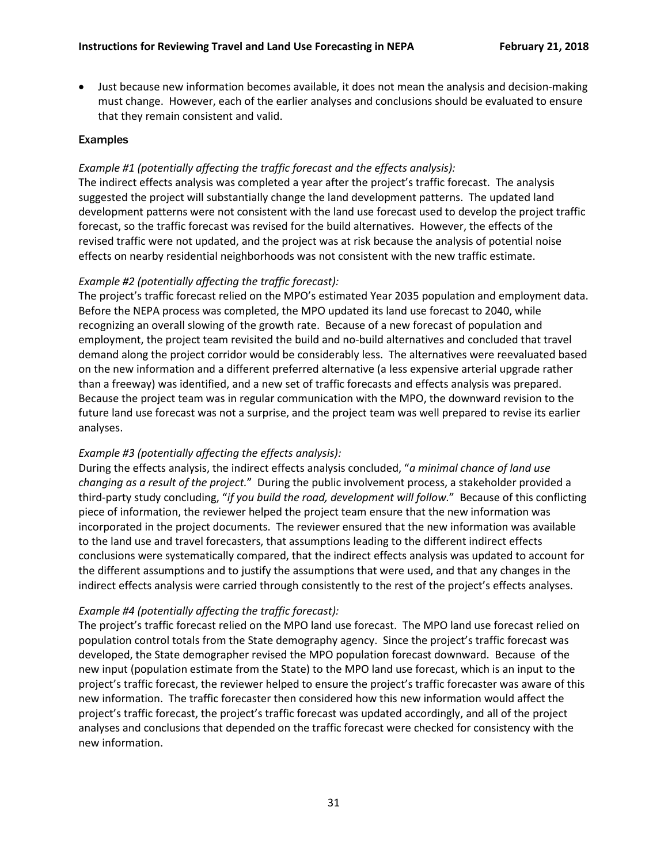• Just because new information becomes available, it does not mean the analysis and decision-making must change. However, each of the earlier analyses and conclusions should be evaluated to ensure that they remain consistent and valid.

#### Examples

# *Example #1 (potentially affecting the traffic forecast and the effects analysis):*

The indirect effects analysis was completed a year after the project's traffic forecast. The analysis suggested the project will substantially change the land development patterns. The updated land development patterns were not consistent with the land use forecast used to develop the project traffic forecast, so the traffic forecast was revised for the build alternatives. However, the effects of the revised traffic were not updated, and the project was at risk because the analysis of potential noise effects on nearby residential neighborhoods was not consistent with the new traffic estimate.

# *Example #2 (potentially affecting the traffic forecast):*

The project's traffic forecast relied on the MPO's estimated Year 2035 population and employment data. Before the NEPA process was completed, the MPO updated its land use forecast to 2040, while recognizing an overall slowing of the growth rate. Because of a new forecast of population and employment, the project team revisited the build and no-build alternatives and concluded that travel demand along the project corridor would be considerably less. The alternatives were reevaluated based on the new information and a different preferred alternative (a less expensive arterial upgrade rather than a freeway) was identified, and a new set of traffic forecasts and effects analysis was prepared. Because the project team was in regular communication with the MPO, the downward revision to the future land use forecast was not a surprise, and the project team was well prepared to revise its earlier analyses.

# *Example #3 (potentially affecting the effects analysis):*

During the effects analysis, the indirect effects analysis concluded, "*a minimal chance of land use changing as a result of the project.*" During the public involvement process, a stakeholder provided a third-party study concluding, "*if you build the road, development will follow.*" Because of this conflicting piece of information, the reviewer helped the project team ensure that the new information was incorporated in the project documents. The reviewer ensured that the new information was available to the land use and travel forecasters, that assumptions leading to the different indirect effects conclusions were systematically compared, that the indirect effects analysis was updated to account for the different assumptions and to justify the assumptions that were used, and that any changes in the indirect effects analysis were carried through consistently to the rest of the project's effects analyses.

# *Example #4 (potentially affecting the traffic forecast):*

The project's traffic forecast relied on the MPO land use forecast. The MPO land use forecast relied on population control totals from the State demography agency. Since the project's traffic forecast was developed, the State demographer revised the MPO population forecast downward. Because of the new input (population estimate from the State) to the MPO land use forecast, which is an input to the project's traffic forecast, the reviewer helped to ensure the project's traffic forecaster was aware of this new information. The traffic forecaster then considered how this new information would affect the project's traffic forecast, the project's traffic forecast was updated accordingly, and all of the project analyses and conclusions that depended on the traffic forecast were checked for consistency with the new information.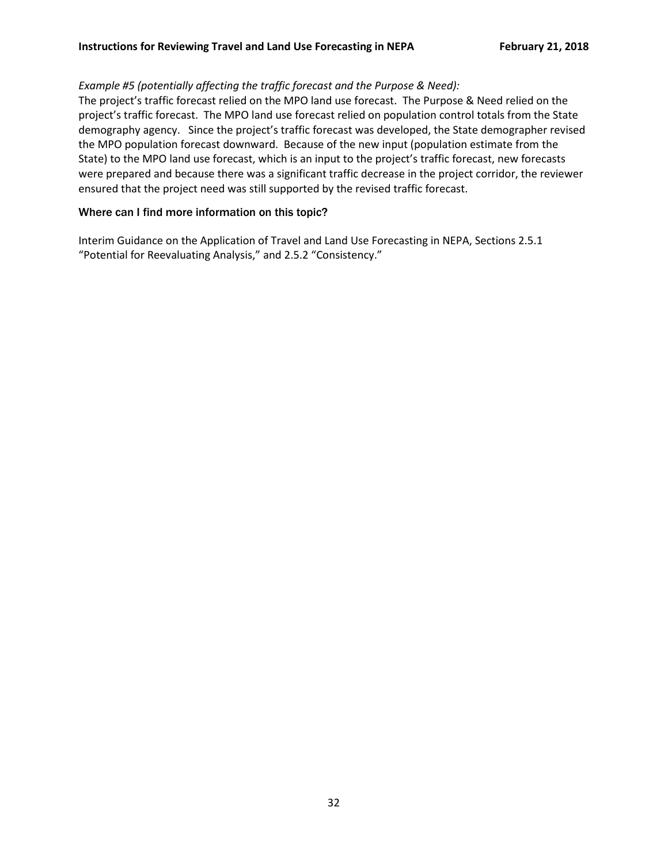# *Example #5 (potentially affecting the traffic forecast and the Purpose & Need):*

The project's traffic forecast relied on the MPO land use forecast. The Purpose & Need relied on the project's traffic forecast. The MPO land use forecast relied on population control totals from the State demography agency. Since the project's traffic forecast was developed, the State demographer revised the MPO population forecast downward. Because of the new input (population estimate from the State) to the MPO land use forecast, which is an input to the project's traffic forecast, new forecasts were prepared and because there was a significant traffic decrease in the project corridor, the reviewer ensured that the project need was still supported by the revised traffic forecast.

# Where can I find more information on this topic?

Interim Guidance on the Application of Travel and Land Use Forecasting in NEPA, Sections 2.5.1 "Potential for Reevaluating Analysis," and 2.5.2 "Consistency."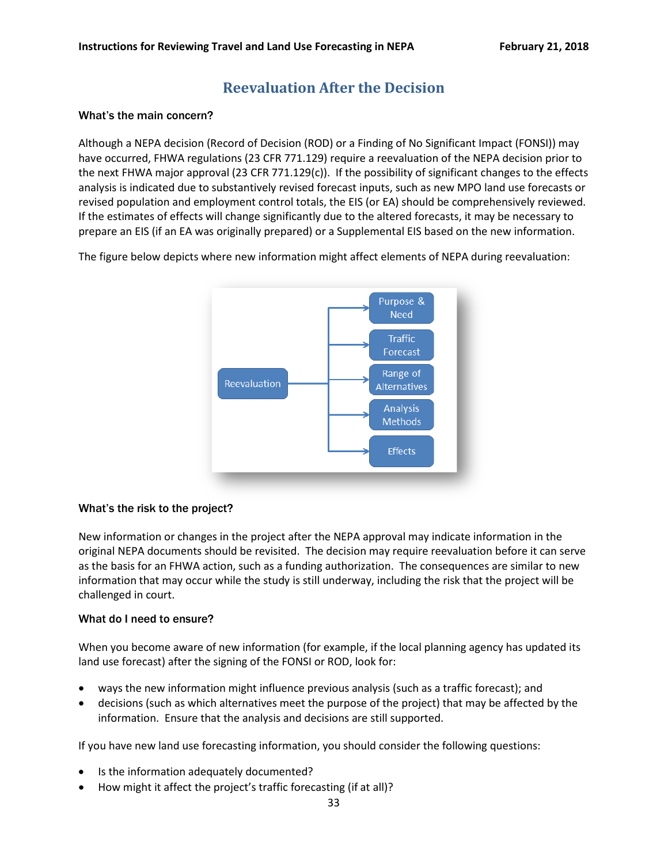# **Reevaluation After the Decision**

#### <span id="page-32-0"></span>What's the main concern?

Although a NEPA decision (Record of Decision (ROD) or a Finding of No Significant Impact (FONSI)) may have occurred, FHWA regulations (23 CFR 771.129) require a reevaluation of the NEPA decision prior to the next FHWA major approval (23 CFR 771.129(c)). If the possibility of significant changes to the effects analysis is indicated due to substantively revised forecast inputs, such as new MPO land use forecasts or revised population and employment control totals, the EIS (or EA) should be comprehensively reviewed. If the estimates of effects will change significantly due to the altered forecasts, it may be necessary to prepare an EIS (if an EA was originally prepared) or a Supplemental EIS based on the new information.

The figure below depicts where new information might affect elements of NEPA during reevaluation:



#### What's the risk to the project?

New information or changes in the project after the NEPA approval may indicate information in the original NEPA documents should be revisited. The decision may require reevaluation before it can serve as the basis for an FHWA action, such as a funding authorization. The consequences are similar to new information that may occur while the study is still underway, including the risk that the project will be challenged in court.

#### What do I need to ensure?

When you become aware of new information (for example, if the local planning agency has updated its land use forecast) after the signing of the FONSI or ROD, look for:

- ways the new information might influence previous analysis (such as a traffic forecast); and
- decisions (such as which alternatives meet the purpose of the project) that may be affected by the information. Ensure that the analysis and decisions are still supported.

If you have new land use forecasting information, you should consider the following questions:

- Is the information adequately documented?
- How might it affect the project's traffic forecasting (if at all)?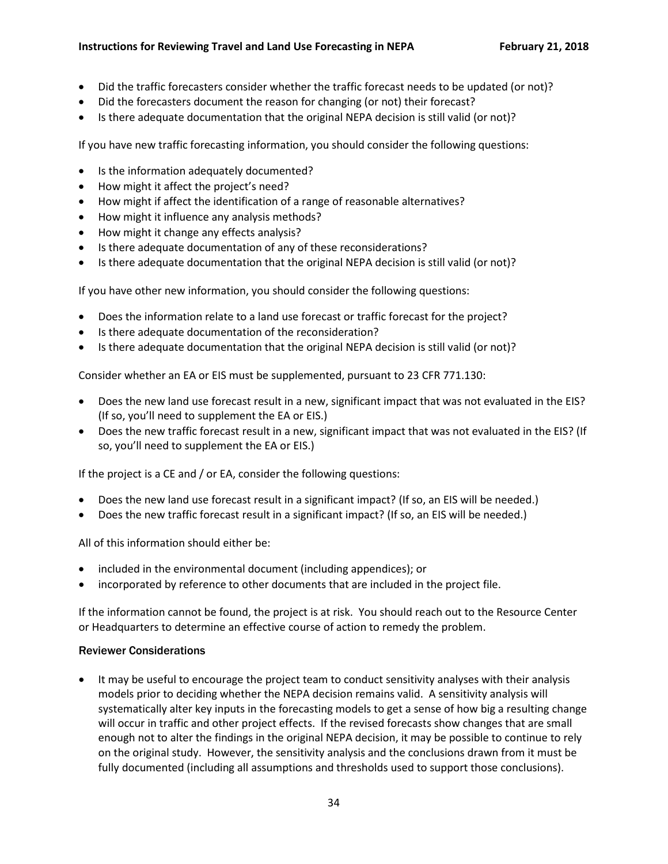- Did the traffic forecasters consider whether the traffic forecast needs to be updated (or not)?
- Did the forecasters document the reason for changing (or not) their forecast?
- Is there adequate documentation that the original NEPA decision is still valid (or not)?

If you have new traffic forecasting information, you should consider the following questions:

- Is the information adequately documented?
- How might it affect the project's need?
- How might if affect the identification of a range of reasonable alternatives?
- How might it influence any analysis methods?
- How might it change any effects analysis?
- Is there adequate documentation of any of these reconsiderations?
- Is there adequate documentation that the original NEPA decision is still valid (or not)?

If you have other new information, you should consider the following questions:

- Does the information relate to a land use forecast or traffic forecast for the project?
- Is there adequate documentation of the reconsideration?
- Is there adequate documentation that the original NEPA decision is still valid (or not)?

Consider whether an EA or EIS must be supplemented, pursuant to 23 CFR 771.130:

- Does the new land use forecast result in a new, significant impact that was not evaluated in the EIS? (If so, you'll need to supplement the EA or EIS.)
- Does the new traffic forecast result in a new, significant impact that was not evaluated in the EIS? (If so, you'll need to supplement the EA or EIS.)

If the project is a CE and / or EA, consider the following questions:

- Does the new land use forecast result in a significant impact? (If so, an EIS will be needed.)
- Does the new traffic forecast result in a significant impact? (If so, an EIS will be needed.)

All of this information should either be:

- included in the environmental document (including appendices); or
- incorporated by reference to other documents that are included in the project file.

If the information cannot be found, the project is at risk. You should reach out to the Resource Center or Headquarters to determine an effective course of action to remedy the problem.

#### Reviewer Considerations

• It may be useful to encourage the project team to conduct sensitivity analyses with their analysis models prior to deciding whether the NEPA decision remains valid. A sensitivity analysis will systematically alter key inputs in the forecasting models to get a sense of how big a resulting change will occur in traffic and other project effects. If the revised forecasts show changes that are small enough not to alter the findings in the original NEPA decision, it may be possible to continue to rely on the original study. However, the sensitivity analysis and the conclusions drawn from it must be fully documented (including all assumptions and thresholds used to support those conclusions).